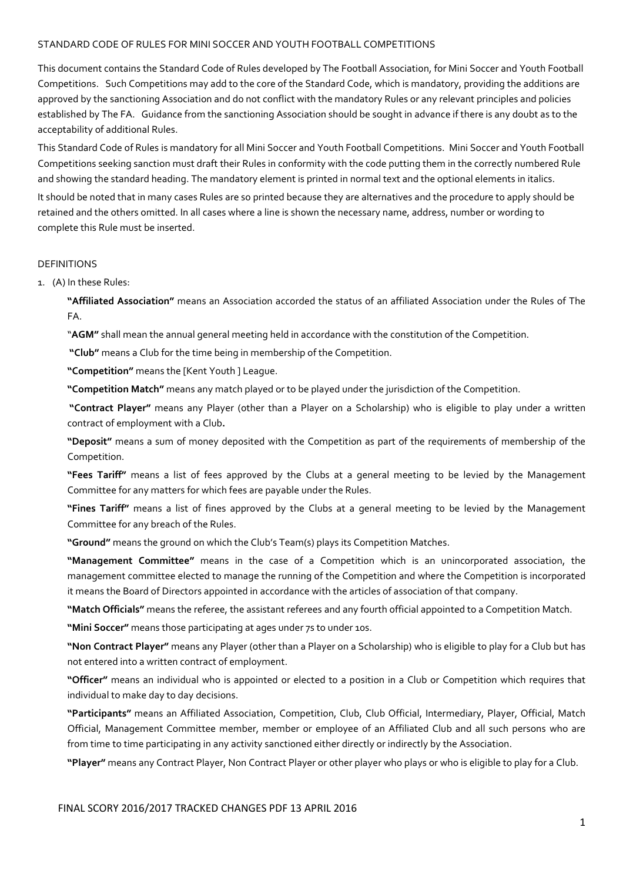#### STANDARD CODE OF RULES FOR MINI SOCCER AND YOUTH FOOTBALL COMPETITIONS

This document contains the Standard Code of Rules developed by The Football Association, for Mini Soccer and Youth Football Competitions. Such Competitions may add to the core of the Standard Code, which is mandatory, providing the additions are approved by the sanctioning Association and do not conflict with the mandatory Rules or any relevant principles and policies established by The FA. Guidance from the sanctioning Association should be sought in advance if there is any doubt as to the acceptability of additional Rules.

This Standard Code of Rules is mandatory for all Mini Soccer and Youth Football Competitions. Mini Soccer and Youth Football Competitions seeking sanction must draft their Rules in conformity with the code putting them in the correctly numbered Rule and showing the standard heading. The mandatory element is printed in normal text and the optional elements in italics.

It should be noted that in many cases Rules are so printed because they are alternatives and the procedure to apply should be retained and the others omitted. In all cases where a line is shown the necessary name, address, number or wording to complete this Rule must be inserted.

#### DEFINITIONS

1. (A) In these Rules:

**"Affiliated Association"** means an Association accorded the status of an affiliated Association under the Rules of The FA.

"**AGM"** shall mean the annual general meeting held in accordance with the constitution of the Competition.

 **"Club"** means a Club for the time being in membership of the Competition.

**"Competition"** means the [Kent Youth ] League.

**"Competition Match"** means any match played or to be played under the jurisdiction of the Competition.

 **"Contract Player"** means any Player (other than a Player on a Scholarship) who is eligible to play under a written contract of employment with a Club**.** 

**"Deposit"** means a sum of money deposited with the Competition as part of the requirements of membership of the Competition.

**"Fees Tariff"** means a list of fees approved by the Clubs at a general meeting to be levied by the Management Committee for any matters for which fees are payable under the Rules.

**"Fines Tariff"** means a list of fines approved by the Clubs at a general meeting to be levied by the Management Committee for any breach of the Rules.

**"Ground"** means the ground on which the Club's Team(s) plays its Competition Matches.

**"Management Committee"** means in the case of a Competition which is an unincorporated association, the management committee elected to manage the running of the Competition and where the Competition is incorporated it means the Board of Directors appointed in accordance with the articles of association of that company.

**"Match Officials"** means the referee, the assistant referees and any fourth official appointed to a Competition Match.

**"Mini Soccer"** means those participating at ages under 7s to under 10s.

**"Non Contract Player"** means any Player (other than a Player on a Scholarship) who is eligible to play for a Club but has not entered into a written contract of employment.

**"Officer"** means an individual who is appointed or elected to a position in a Club or Competition which requires that individual to make day to day decisions.

**"Participants"** means an Affiliated Association, Competition, Club, Club Official, Intermediary, Player, Official, Match Official, Management Committee member, member or employee of an Affiliated Club and all such persons who are from time to time participating in any activity sanctioned either directly or indirectly by the Association.

**"Player"** means any Contract Player, Non Contract Player or other player who plays or who is eligible to play for a Club.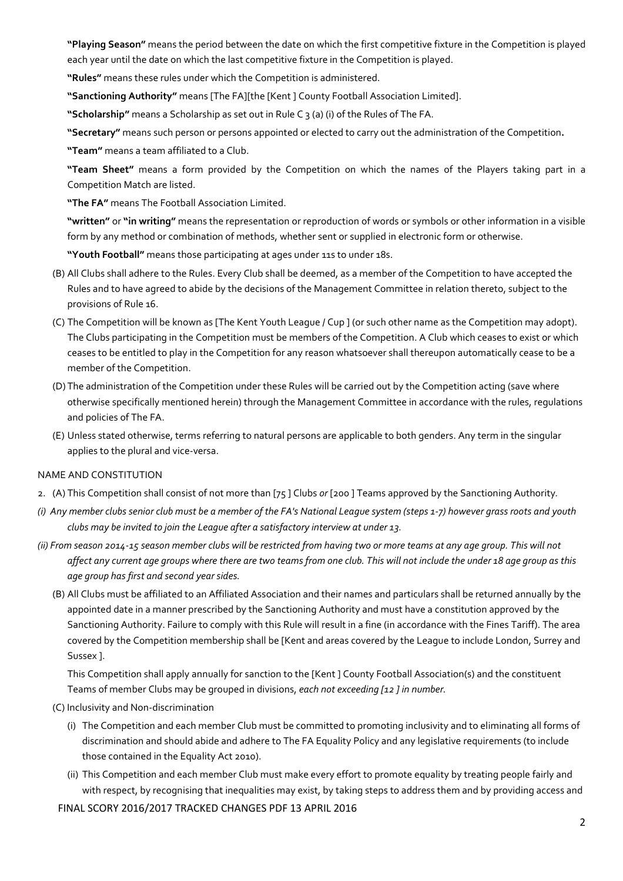**"Playing Season"** means the period between the date on which the first competitive fixture in the Competition is played each year until the date on which the last competitive fixture in the Competition is played.

**"Rules"** means these rules under which the Competition is administered.

**"Sanctioning Authority"** means [The FA][the [Kent ] County Football Association Limited].

**"Scholarship"** means a Scholarship as set out in Rule C 3 (a) (i) of the Rules of The FA.

**"Secretary"** means such person or persons appointed or elected to carry out the administration of the Competition**.** 

**"Team"** means a team affiliated to a Club.

**"Team Sheet"** means a form provided by the Competition on which the names of the Players taking part in a Competition Match are listed.

**"The FA"** means The Football Association Limited.

**"written"** or **"in writing"** means the representation or reproduction of words or symbols or other information in a visible form by any method or combination of methods, whether sent or supplied in electronic form or otherwise.

**"Youth Football"** means those participating at ages under 11s to under 18s.

- (B) All Clubs shall adhere to the Rules. Every Club shall be deemed, as a member of the Competition to have accepted the Rules and to have agreed to abide by the decisions of the Management Committee in relation thereto, subject to the provisions of Rule 16.
- (C) The Competition will be known as [The Kent Youth League / Cup ] (or such other name as the Competition may adopt). The Clubs participating in the Competition must be members of the Competition. A Club which ceases to exist or which ceases to be entitled to play in the Competition for any reason whatsoever shall thereupon automatically cease to be a member of the Competition.
- (D) The administration of the Competition under these Rules will be carried out by the Competition acting (save where otherwise specifically mentioned herein) through the Management Committee in accordance with the rules, regulations and policies of The FA.
- (E) Unless stated otherwise, terms referring to natural persons are applicable to both genders. Any term in the singular applies to the plural and vice-versa.

## NAME AND CONSTITUTION

- 2. (A) This Competition shall consist of not more than [75 ] Clubs *or* [200 ] Teams approved by the Sanctioning Authority*.*
- *(i) Any member clubs senior club must be a member of the FA's National League system (steps 1-7) however grass roots and youth clubs may be invited to join the League after a satisfactory interview at under 13.*
- *(ii) From season 2014-15 season member clubs will be restricted from having two or more teams at any age group. This will not affect any current age groups where there are two teams from one club. This will not include the under 18 age group as this age group has first and second year sides.*
	- (B) All Clubs must be affiliated to an Affiliated Association and their names and particulars shall be returned annually by the appointed date in a manner prescribed by the Sanctioning Authority and must have a constitution approved by the Sanctioning Authority. Failure to comply with this Rule will result in a fine (in accordance with the Fines Tariff). The area covered by the Competition membership shall be [Kent and areas covered by the League to include London, Surrey and Sussex ].

This Competition shall apply annually for sanction to the [Kent ] County Football Association(s) and the constituent Teams of member Clubs may be grouped in divisions, *each not exceeding [12 ] in number.*

- (C) Inclusivity and Non-discrimination
	- (i) The Competition and each member Club must be committed to promoting inclusivity and to eliminating all forms of discrimination and should abide and adhere to The FA Equality Policy and any legislative requirements (to include those contained in the Equality Act 2010).
	- (ii) This Competition and each member Club must make every effort to promote equality by treating people fairly and with respect, by recognising that inequalities may exist, by taking steps to address them and by providing access and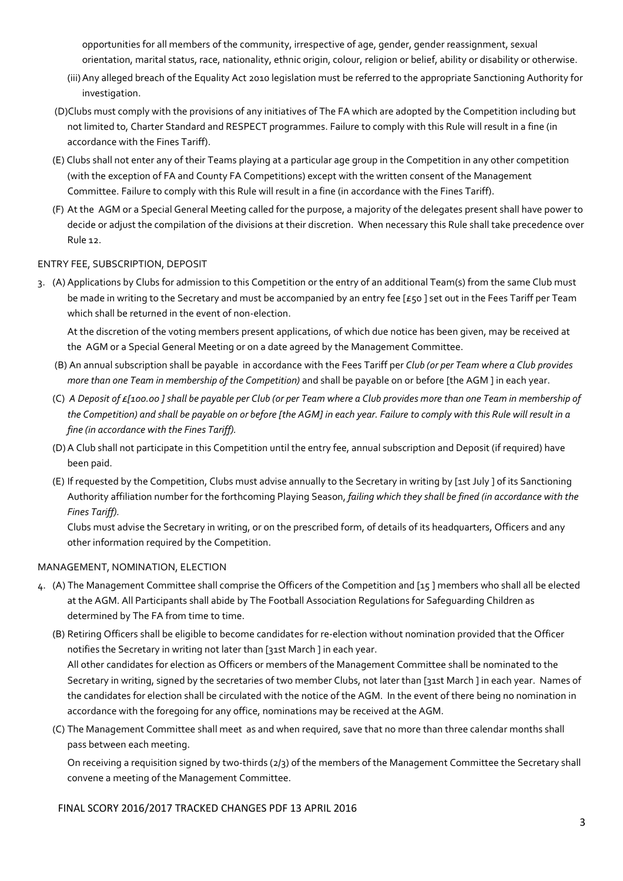opportunities for all members of the community, irrespective of age, gender, gender reassignment, sexual orientation, marital status, race, nationality, ethnic origin, colour, religion or belief, ability or disability or otherwise.

- (iii) Any alleged breach of the Equality Act 2010 legislation must be referred to the appropriate Sanctioning Authority for investigation.
- (D)Clubs must comply with the provisions of any initiatives of The FA which are adopted by the Competition including but not limited to, Charter Standard and RESPECT programmes. Failure to comply with this Rule will result in a fine (in accordance with the Fines Tariff).
- (E) Clubs shall not enter any of their Teams playing at a particular age group in the Competition in any other competition (with the exception of FA and County FA Competitions) except with the written consent of the Management Committee. Failure to comply with this Rule will result in a fine (in accordance with the Fines Tariff).
- (F) At the AGM or a Special General Meeting called for the purpose, a majority of the delegates present shall have power to decide or adjust the compilation of the divisions at their discretion. When necessary this Rule shall take precedence over Rule 12.

## ENTRY FEE, SUBSCRIPTION, DEPOSIT

3. (A) Applications by Clubs for admission to this Competition or the entry of an additional Team(s) from the same Club must be made in writing to the Secretary and must be accompanied by an entry fee [£50] set out in the Fees Tariff per Team which shall be returned in the event of non-election.

At the discretion of the voting members present applications, of which due notice has been given, may be received at the AGM or a Special General Meeting or on a date agreed by the Management Committee.

- (B) An annual subscription shall be payable in accordance with the Fees Tariff per *Club (or per Team where a Club provides more than one Team in membership of the Competition)* and shall be payable on or before [the AGM ] in each year.
- (C) *A Deposit of £[100.00 ] shall be payable per Club (or per Team where a Club provides more than one Team in membership of the Competition) and shall be payable on or before [the AGM] in each year. Failure to comply with this Rule will result in a fine (in accordance with the Fines Tariff).*
- (D) A Club shall not participate in this Competition until the entry fee, annual subscription and Deposit (if required) have been paid.
- (E) If requested by the Competition, Clubs must advise annually to the Secretary in writing by [1st July ] of its Sanctioning Authority affiliation number for the forthcoming Playing Season, *failing which they shall be fined (in accordance with the Fines Tariff).*

Clubs must advise the Secretary in writing, or on the prescribed form, of details of its headquarters, Officers and any other information required by the Competition.

## MANAGEMENT, NOMINATION, ELECTION

- 4. (A) The Management Committee shall comprise the Officers of the Competition and [15 ] members who shall all be elected at the AGM. All Participants shall abide by The Football Association Regulations for Safeguarding Children as determined by The FA from time to time.
	- (B) Retiring Officers shall be eligible to become candidates for re-election without nomination provided that the Officer notifies the Secretary in writing not later than [31st March ] in each year. All other candidates for election as Officers or members of the Management Committee shall be nominated to the Secretary in writing, signed by the secretaries of two member Clubs, not later than [31st March ] in each year. Names of the candidates for election shall be circulated with the notice of the AGM. In the event of there being no nomination in accordance with the foregoing for any office, nominations may be received at the AGM.
	- (C) The Management Committee shall meet as and when required, save that no more than three calendar months shall pass between each meeting.

On receiving a requisition signed by two-thirds (2/3) of the members of the Management Committee the Secretary shall convene a meeting of the Management Committee.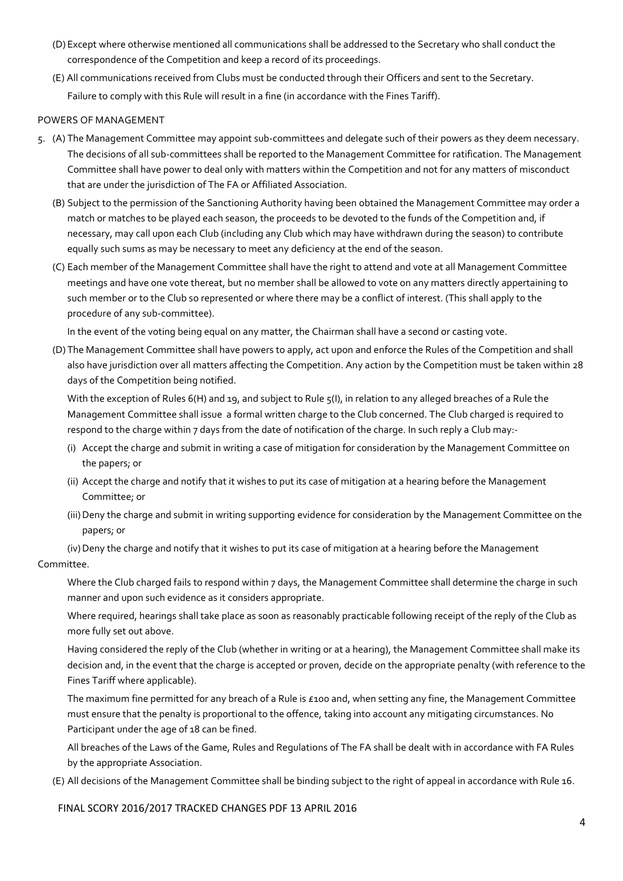- (D) Except where otherwise mentioned all communications shall be addressed to the Secretary who shall conduct the correspondence of the Competition and keep a record of its proceedings.
- (E) All communications received from Clubs must be conducted through their Officers and sent to the Secretary. Failure to comply with this Rule will result in a fine (in accordance with the Fines Tariff).

### POWERS OF MANAGEMENT

- 5. (A) The Management Committee may appoint sub-committees and delegate such of their powers as they deem necessary. The decisions of all sub-committees shall be reported to the Management Committee for ratification. The Management Committee shall have power to deal only with matters within the Competition and not for any matters of misconduct that are under the jurisdiction of The FA or Affiliated Association.
	- (B) Subject to the permission of the Sanctioning Authority having been obtained the Management Committee may order a match or matches to be played each season, the proceeds to be devoted to the funds of the Competition and, if necessary, may call upon each Club (including any Club which may have withdrawn during the season) to contribute equally such sums as may be necessary to meet any deficiency at the end of the season.
	- (C) Each member of the Management Committee shall have the right to attend and vote at all Management Committee meetings and have one vote thereat, but no member shall be allowed to vote on any matters directly appertaining to such member or to the Club so represented or where there may be a conflict of interest. (This shall apply to the procedure of any sub-committee).

In the event of the voting being equal on any matter, the Chairman shall have a second or casting vote.

(D) The Management Committee shall have powers to apply, act upon and enforce the Rules of the Competition and shall also have jurisdiction over all matters affecting the Competition. Any action by the Competition must be taken within 28 days of the Competition being notified.

With the exception of Rules 6(H) and 19, and subject to Rule  $\zeta(1)$ , in relation to any alleged breaches of a Rule the Management Committee shall issue a formal written charge to the Club concerned. The Club charged is required to respond to the charge within 7 days from the date of notification of the charge. In such reply a Club may:-

- (i) Accept the charge and submit in writing a case of mitigation for consideration by the Management Committee on the papers; or
- (ii) Accept the charge and notify that it wishes to put its case of mitigation at a hearing before the Management Committee; or
- (iii) Deny the charge and submit in writing supporting evidence for consideration by the Management Committee on the papers; or

 (iv) Deny the charge and notify that it wishes to put its case of mitigation at a hearing before the Management Committee.

 Where the Club charged fails to respond within 7 days, the Management Committee shall determine the charge in such manner and upon such evidence as it considers appropriate.

 Where required, hearings shall take place as soon as reasonably practicable following receipt of the reply of the Club as more fully set out above.

 Having considered the reply of the Club (whether in writing or at a hearing), the Management Committee shall make its decision and, in the event that the charge is accepted or proven, decide on the appropriate penalty (with reference to the Fines Tariff where applicable).

The maximum fine permitted for any breach of a Rule is £100 and, when setting any fine, the Management Committee must ensure that the penalty is proportional to the offence, taking into account any mitigating circumstances. No Participant under the age of 18 can be fined.

 All breaches of the Laws of the Game, Rules and Regulations of The FA shall be dealt with in accordance with FA Rules by the appropriate Association.

(E) All decisions of the Management Committee shall be binding subject to the right of appeal in accordance with Rule 16.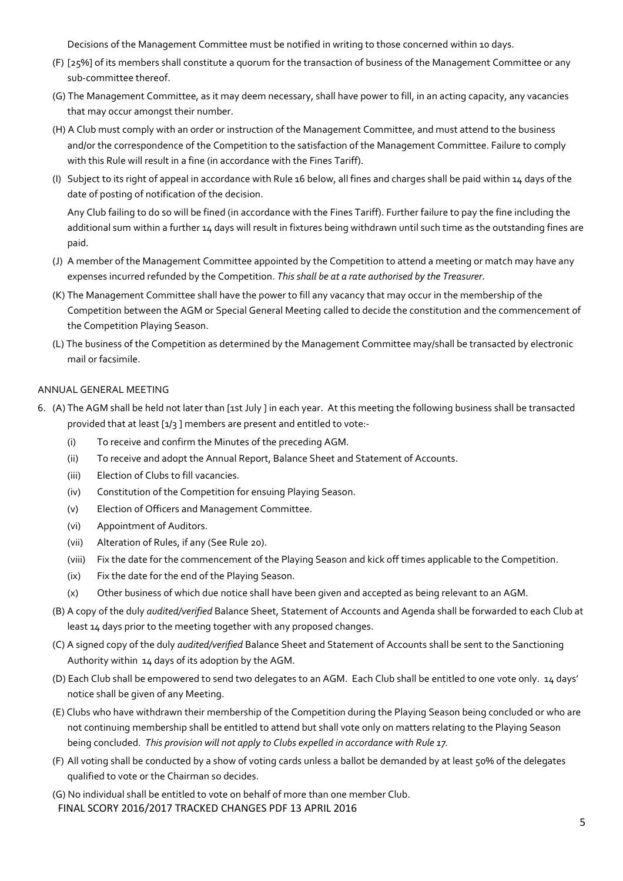Decisions of the Management Committee must be notified in writing to those concerned within 10 days.

- (F) [25%] of its members shall constitute a quorum for the transaction of business of the Management Committee or any sub-committee thereof.
- (G) The Management Committee, as it may deem necessary, shall have power to fill, in an acting capacity, any vacancies that may occur amongst their number.
- (H) A Club must comply with an order or instruction of the Management Committee, and must attend to the business and/or the correspondence of the Competition to the satisfaction of the Management Committee. Failure to comply with this Rule will result in a fine (in accordance with the Fines Tariff).
- (I) Subject to its right of appeal in accordance with Rule 16 below, all fines and charges shall be paid within 14 days of the date of posting of notification of the decision.

 Any Club failing to do so will be fined (in accordance with the Fines Tariff). Further failure to pay the fine including the additional sum within a further 14 days will result in fixtures being withdrawn until such time as the outstanding fines are paid.

- (J) A member of the Management Committee appointed by the Competition to attend a meeting or match may have any expenses incurred refunded by the Competition. *This shall be at a rate authorised by the Treasurer.*
- (K) The Management Committee shall have the power to fill any vacancy that may occur in the membership of the Competition between the AGM or Special General Meeting called to decide the constitution and the commencement of the Competition Playing Season.
- (L) The business of the Competition as determined by the Management Committee may/shall be transacted by electronic mail or facsimile.

## ANNUAL GENERAL MEETING

- 6. (A) The AGM shall be held not later than [1st July ] in each year. At this meeting the following business shall be transacted provided that at least [1/3 ] members are present and entitled to vote:-
	- (i) To receive and confirm the Minutes of the preceding AGM.
	- (ii) To receive and adopt the Annual Report, Balance Sheet and Statement of Accounts.
	- (iii) Election of Clubs to fill vacancies.
	- (iv) Constitution of the Competition for ensuing Playing Season.
	- (v) Election of Officers and Management Committee.
	- (vi) Appointment of Auditors.
	- (vii) Alteration of Rules, if any (See Rule 20).
	- (viii) Fix the date for the commencement of the Playing Season and kick off times applicable to the Competition.
	- (ix) Fix the date for the end of the Playing Season.
	- (x) Other business of which due notice shall have been given and accepted as being relevant to an AGM.
	- (B) A copy of the duly *audited/verified* Balance Sheet, Statement of Accounts and Agenda shall be forwarded to each Club at least 14 days prior to the meeting together with any proposed changes.
	- (C) A signed copy of the duly *audited/verified* Balance Sheet and Statement of Accounts shall be sent to the Sanctioning Authority within 14 days of its adoption by the AGM.
	- (D) Each Club shall be empowered to send two delegates to an AGM. Each Club shall be entitled to one vote only. 14 days' notice shall be given of any Meeting.
	- (E) Clubs who have withdrawn their membership of the Competition during the Playing Season being concluded or who are not continuing membership shall be entitled to attend but shall vote only on matters relating to the Playing Season being concluded. *This provision will not apply to Clubs expelled in accordance with Rule 17.*
	- (F) All voting shall be conducted by a show of voting cards unless a ballot be demanded by at least 50% of the delegates qualified to vote or the Chairman so decides.
	- FINAL SCORY 2016/2017 TRACKED CHANGES PDF 13 APRIL 2016 (G) No individual shall be entitled to vote on behalf of more than one member Club.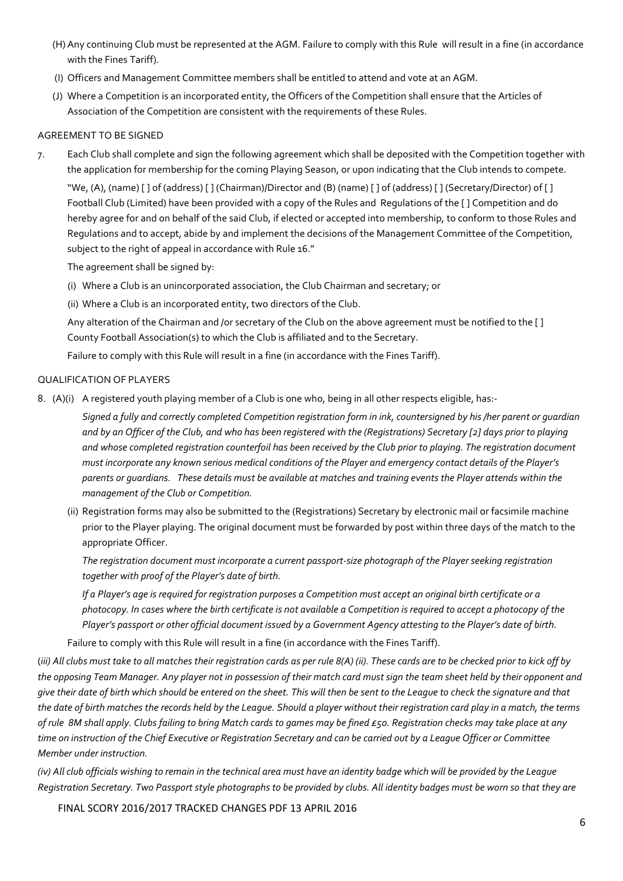- (H) Any continuing Club must be represented at the AGM. Failure to comply with this Rule will result in a fine (in accordance with the Fines Tariff).
- (I) Officers and Management Committee members shall be entitled to attend and vote at an AGM.
- (J) Where a Competition is an incorporated entity, the Officers of the Competition shall ensure that the Articles of Association of the Competition are consistent with the requirements of these Rules.

## AGREEMENT TO BE SIGNED

7. Each Club shall complete and sign the following agreement which shall be deposited with the Competition together with the application for membership for the coming Playing Season, or upon indicating that the Club intends to compete.

 "We, (A), (name) [ ] of (address) [ ] (Chairman)/Director and (B) (name) [ ] of (address) [ ] (Secretary/Director) of [ ] Football Club (Limited) have been provided with a copy of the Rules and Regulations of the [ ] Competition and do hereby agree for and on behalf of the said Club, if elected or accepted into membership, to conform to those Rules and Regulations and to accept, abide by and implement the decisions of the Management Committee of the Competition, subject to the right of appeal in accordance with Rule 16."

The agreement shall be signed by:

- (i) Where a Club is an unincorporated association, the Club Chairman and secretary; or
- (ii) Where a Club is an incorporated entity, two directors of the Club.

 Any alteration of the Chairman and /or secretary of the Club on the above agreement must be notified to the [ ] County Football Association(s) to which the Club is affiliated and to the Secretary.

Failure to comply with this Rule will result in a fine (in accordance with the Fines Tariff).

## QUALIFICATION OF PLAYERS

8. (A)(i) A registered youth playing member of a Club is one who, being in all other respects eligible, has:-

 *Signed a fully and correctly completed Competition registration form in ink, countersigned by his /her parent or guardian and by an Officer of the Club, and who has been registered with the (Registrations) Secretary [2] days prior to playing and whose completed registration counterfoil has been received by the Club prior to playing. The registration document must incorporate any known serious medical conditions of the Player and emergency contact details of the Player's parents or guardians. These details must be available at matches and training events the Player attends within the management of the Club or Competition.* 

(ii) Registration forms may also be submitted to the (Registrations) Secretary by electronic mail or facsimile machine prior to the Player playing. The original document must be forwarded by post within three days of the match to the appropriate Officer.

*The registration document must incorporate a current passport-size photograph of the Player seeking registration together with proof of the Player's date of birth.* 

*If a Player's age is required for registration purposes a Competition must accept an original birth certificate or a photocopy. In cases where the birth certificate is not available a Competition is required to accept a photocopy of the Player's passport or other official document issued by a Government Agency attesting to the Player's date of birth.* 

Failure to comply with this Rule will result in a fine (in accordance with the Fines Tariff).

(*iii) All clubs must take to all matches their registration cards as per rule 8(A) (ii). These cards are to be checked prior to kick off by the opposing Team Manager. Any player not in possession of their match card must sign the team sheet held by their opponent and give their date of birth which should be entered on the sheet. This will then be sent to the League to check the signature and that the date of birth matches the records held by the League. Should a player without their registration card play in a match, the terms of rule 8M shall apply. Clubs failing to bring Match cards to games may be fined £50. Registration checks may take place at any time on instruction of the Chief Executive or Registration Secretary and can be carried out by a League Officer or Committee Member under instruction.* 

*(iv) All club officials wishing to remain in the technical area must have an identity badge which will be provided by the League Registration Secretary. Two Passport style photographs to be provided by clubs. All identity badges must be worn so that they are*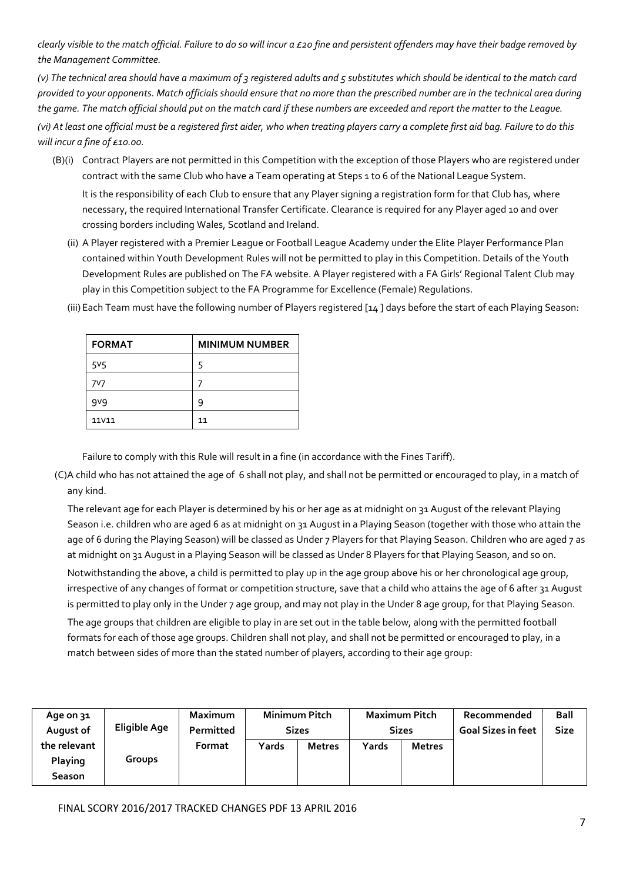*clearly visible to the match official. Failure to do so will incur a £20 fine and persistent offenders may have their badge removed by the Management Committee.* 

*(v) The technical area should have a maximum of 3 registered adults and 5 substitutes which should be identical to the match card provided to your opponents. Match officials should ensure that no more than the prescribed number are in the technical area during the game. The match official should put on the match card if these numbers are exceeded and report the matter to the League. (vi) At least one official must be a registered first aider, who when treating players carry a complete first aid bag. Failure to do this will incur a fine of £10.00.* 

- (B)(i) Contract Players are not permitted in this Competition with the exception of those Players who are registered under contract with the same Club who have a Team operating at Steps 1 to 6 of the National League System. It is the responsibility of each Club to ensure that any Player signing a registration form for that Club has, where necessary, the required International Transfer Certificate. Clearance is required for any Player aged 10 and over crossing borders including Wales, Scotland and Ireland.
	- (ii) A Player registered with a Premier League or Football League Academy under the Elite Player Performance Plan contained within Youth Development Rules will not be permitted to play in this Competition. Details of the Youth Development Rules are published on The FA website. A Player registered with a FA Girls' Regional Talent Club may play in this Competition subject to the FA Programme for Excellence (Female) Regulations.

| <b>FORMAT</b>  | <b>MINIMUM NUMBER</b> |
|----------------|-----------------------|
| 5 <sub>5</sub> |                       |
| 7V7            |                       |
| gvg            | q                     |
| <b>11V11</b>   | 11                    |

(iii) Each Team must have the following number of Players registered [14 ] days before the start of each Playing Season:

Failure to comply with this Rule will result in a fine (in accordance with the Fines Tariff).

 (C)A child who has not attained the age of 6 shall not play, and shall not be permitted or encouraged to play, in a match of any kind.

 The relevant age for each Player is determined by his or her age as at midnight on 31 August of the relevant Playing Season i.e. children who are aged 6 as at midnight on 31 August in a Playing Season (together with those who attain the age of 6 during the Playing Season) will be classed as Under 7 Players for that Playing Season. Children who are aged 7 as at midnight on 31 August in a Playing Season will be classed as Under 8 Players for that Playing Season, and so on.

 Notwithstanding the above, a child is permitted to play up in the age group above his or her chronological age group, irrespective of any changes of format or competition structure, save that a child who attains the age of 6 after 31 August is permitted to play only in the Under 7 age group, and may not play in the Under 8 age group, for that Playing Season. The age groups that children are eligible to play in are set out in the table below, along with the permitted football formats for each of those age groups. Children shall not play, and shall not be permitted or encouraged to play, in a match between sides of more than the stated number of players, according to their age group:

| Age on 31     |               | <b>Maximum</b>   |              | <b>Minimum Pitch</b> |              | <b>Maximum Pitch</b> | Recommended               | <b>Ball</b> |
|---------------|---------------|------------------|--------------|----------------------|--------------|----------------------|---------------------------|-------------|
| August of     | Eligible Age  | <b>Permitted</b> | <b>Sizes</b> |                      | <b>Sizes</b> |                      | <b>Goal Sizes in feet</b> | <b>Size</b> |
| the relevant  |               | Format           | Yards        | <b>Metres</b>        | Yards        | <b>Metres</b>        |                           |             |
| Playing       | <b>Groups</b> |                  |              |                      |              |                      |                           |             |
| <b>Season</b> |               |                  |              |                      |              |                      |                           |             |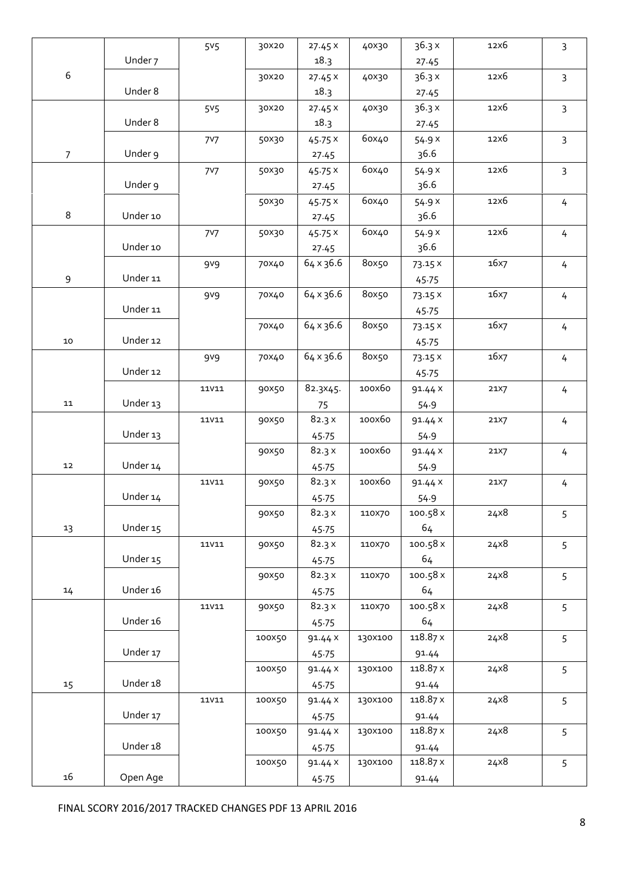|                  |          | 5 <sub>5</sub>   | 30X20  | 27.45x         | 40X30   | 36.3x             | 12x6 | $\overline{3}$ |
|------------------|----------|------------------|--------|----------------|---------|-------------------|------|----------------|
|                  | Under 7  |                  |        | 18.3           |         |                   |      |                |
| $\boldsymbol{6}$ |          |                  |        |                |         | 27.45<br>36.3x    | 12x6 |                |
|                  | Under 8  |                  | 30X20  | 27.45x<br>18.3 | 40X30   |                   |      | $\overline{3}$ |
|                  |          |                  |        |                |         | 27.45             |      |                |
|                  |          | 5 <sub>5</sub>   | 30X20  | 27.45x         | 40X30   | 36.3x             | 12x6 | $\overline{3}$ |
|                  | Under 8  |                  |        | 18.3           |         | 27.45             |      |                |
|                  |          | <b>7V7</b>       | 50X30  | 45.75 X        | 60x40   | 54.9 X            | 12x6 | $\mathsf{3}$   |
| $\overline{7}$   | Under 9  |                  |        | 27.45          |         | 36.6              |      |                |
|                  |          | <b>7V7</b>       | 50X30  | 45.75 X        | 60x40   | 54.9 X            | 12x6 | $\mathbf{3}$   |
|                  | Under 9  |                  |        | 27.45          |         | 36.6              |      |                |
|                  |          |                  | 50X30  | 45.75x         | 60x40   | 54.9 X            | 12x6 | 4              |
| $\,8\,$          | Under 10 |                  |        | 27.45          |         | 36.6              |      |                |
|                  |          | 7 <sup>V</sup> 7 | 50X30  | 45.75x         | 60x40   | 54.9 X            | 12x6 | 4              |
|                  | Under 10 |                  |        | 27.45          |         | 36.6              |      |                |
|                  |          | 9 <sup>v9</sup>  | 70X40  | 64 x 36.6      | 8ox50   | 73.15 X           | 16x7 | 4              |
| $\mathsf 9$      | Under 11 |                  |        |                |         | 45.75             |      |                |
|                  |          | 9 <sub>0</sub>   | 70X40  | 64 x 36.6      | 80x50   | 73.15 X           | 16x7 | 4              |
|                  | Under 11 |                  |        |                |         | 45.75             |      |                |
|                  |          |                  | 70X40  | 64 x 36.6      | 80x50   | 73.15 X           | 16x7 | 4              |
| 10               | Under 12 |                  |        |                |         | 45.75             |      |                |
|                  |          | 9 <sup>v9</sup>  | 70X40  | 64 x 36.6      | 80x50   | 73.15 X           | 16x7 | 4              |
|                  | Under 12 |                  |        |                |         | 45.75             |      |                |
|                  |          | <b>11V11</b>     | 90X50  | 82.3X45.       | 100х60  | 91.44 X           | 21X7 | 4              |
| 11               | Under 13 |                  |        | 75             |         | 54.9              |      |                |
|                  |          | <b>11V11</b>     | 90×50  | 82.3x          | 100x60  | 91.44 X           | 21X7 | $\overline{4}$ |
|                  | Under 13 |                  |        | 45.75          |         | 54.9              |      |                |
|                  |          |                  | 90X50  | 82.3x          | 100X60  | 91.44 X           | 21X7 | 4              |
| 12               | Under 14 |                  |        | 45.75          |         | 54.9              |      |                |
|                  |          | <b>11V11</b>     | 90×50  | 82.3x          | 100х60  | 91.44 X           | 21X7 | 4              |
|                  | Under 14 |                  |        | 45.75          |         | 54.9              |      |                |
|                  |          |                  | 90×50  | $82.3 \times$  | 110X70  | 100.58 x          | 24x8 | 5              |
| 13               | Under 15 |                  |        | 45.75          |         | 64                |      |                |
|                  |          |                  | 90×50  | 82.3x          | 110X70  | 100.58 x          | 24x8 | 5              |
|                  | Under 15 |                  |        | 45.75          |         | 64                |      |                |
|                  |          |                  | 90×50  | 82.3x          | 110X70  | 100.58 x          | 24x8 | 5              |
| 14               | Under 16 |                  |        | 45.75          |         | 64                |      |                |
|                  |          | <b>11V11</b>     | 90×50  | 82.3x          | 110X70  | 100.58 x          | 24x8 | 5              |
|                  | Under 16 |                  |        | 45.75          |         | 64                |      |                |
|                  |          |                  | 100X50 | 91.44 X        | 130X100 | 118.87 x          | 24x8 | 5              |
|                  | Under 17 |                  |        | 45.75          |         | 91.44             |      |                |
|                  |          |                  | 100X50 | 91.44 X        | 130X100 | 118.87 x          | 24x8 | 5              |
| 15               | Under 18 |                  |        | 45.75          |         | 91.44             |      |                |
|                  |          |                  | 100X50 |                | 130X100 | 118.87 x          | 24x8 |                |
|                  | Under 17 |                  |        | 91.44 X        |         |                   |      | 5              |
|                  |          |                  |        | 45.75          |         | 91.44<br>118.87 x | 24x8 |                |
|                  | Under 18 |                  | 100X50 | 91.44 X        | 130X100 |                   |      | 5              |
|                  |          |                  |        | 45.75          |         | 91.44             |      |                |
|                  |          |                  | 100X50 | 91.44 X        | 130X100 | 118.87 x          | 24x8 | 5              |
| $16\,$           | Open Age |                  |        | 45.75          |         | 91.44             |      |                |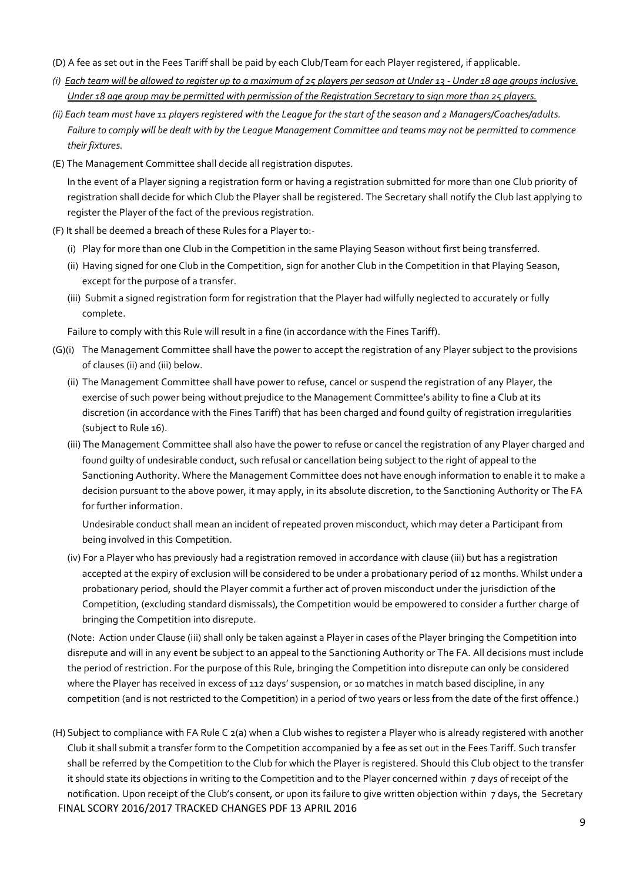- (D) A fee as set out in the Fees Tariff shall be paid by each Club/Team for each Player registered, if applicable.
- *(i) Each team will be allowed to register up to a maximum of 25 players per season at Under 13 Under 18 age groups inclusive. Under 18 age group may be permitted with permission of the Registration Secretary to sign more than 25 players.*
- *(ii) Each team must have 11 players registered with the League for the start of the season and 2 Managers/Coaches/adults. Failure to comply will be dealt with by the League Management Committee and teams may not be permitted to commence their fixtures.*
- (E) The Management Committee shall decide all registration disputes.

In the event of a Player signing a registration form or having a registration submitted for more than one Club priority of registration shall decide for which Club the Player shall be registered. The Secretary shall notify the Club last applying to register the Player of the fact of the previous registration.

- (F) It shall be deemed a breach of these Rules for a Player to:-
	- (i) Play for more than one Club in the Competition in the same Playing Season without first being transferred.
	- (ii) Having signed for one Club in the Competition, sign for another Club in the Competition in that Playing Season, except for the purpose of a transfer.
	- (iii) Submit a signed registration form for registration that the Player had wilfully neglected to accurately or fully complete.

Failure to comply with this Rule will result in a fine (in accordance with the Fines Tariff).

- (G)(i) The Management Committee shall have the power to accept the registration of any Player subject to the provisions of clauses (ii) and (iii) below.
	- (ii) The Management Committee shall have power to refuse, cancel or suspend the registration of any Player, the exercise of such power being without prejudice to the Management Committee's ability to fine a Club at its discretion (in accordance with the Fines Tariff) that has been charged and found guilty of registration irregularities (subject to Rule 16).
	- (iii) The Management Committee shall also have the power to refuse or cancel the registration of any Player charged and found guilty of undesirable conduct, such refusal or cancellation being subject to the right of appeal to the Sanctioning Authority. Where the Management Committee does not have enough information to enable it to make a decision pursuant to the above power, it may apply, in its absolute discretion, to the Sanctioning Authority or The FA for further information.

Undesirable conduct shall mean an incident of repeated proven misconduct, which may deter a Participant from being involved in this Competition.

 (iv) For a Player who has previously had a registration removed in accordance with clause (iii) but has a registration accepted at the expiry of exclusion will be considered to be under a probationary period of 12 months. Whilst under a probationary period, should the Player commit a further act of proven misconduct under the jurisdiction of the Competition, (excluding standard dismissals), the Competition would be empowered to consider a further charge of bringing the Competition into disrepute.

 (Note: Action under Clause (iii) shall only be taken against a Player in cases of the Player bringing the Competition into disrepute and will in any event be subject to an appeal to the Sanctioning Authority or The FA. All decisions must include the period of restriction. For the purpose of this Rule, bringing the Competition into disrepute can only be considered where the Player has received in excess of 112 days' suspension, or 10 matches in match based discipline, in any competition (and is not restricted to the Competition) in a period of two years or less from the date of the first offence.)

FINAL SCORY 2016/2017 TRACKED CHANGES PDF 13 APRIL 2016 (H) Subject to compliance with FA Rule C 2(a) when a Club wishes to register a Player who is already registered with another Club it shall submit a transfer form to the Competition accompanied by a fee as set out in the Fees Tariff. Such transfer shall be referred by the Competition to the Club for which the Player is registered. Should this Club object to the transfer it should state its objections in writing to the Competition and to the Player concerned within 7 days of receipt of the notification. Upon receipt of the Club's consent, or upon its failure to give written objection within 7 days, the Secretary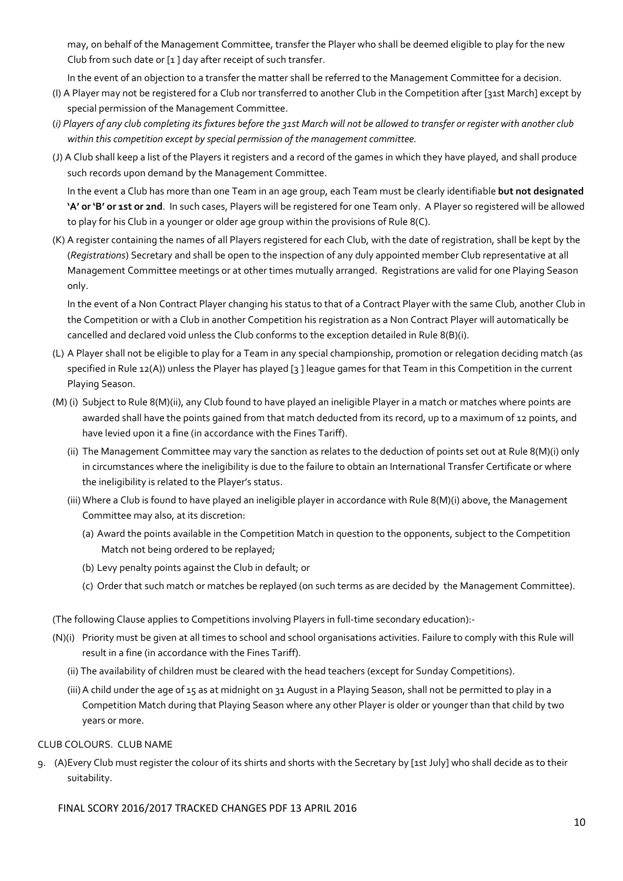may, on behalf of the Management Committee, transfer the Player who shall be deemed eligible to play for the new Club from such date or [1 ] day after receipt of such transfer.

In the event of an objection to a transfer the matter shall be referred to the Management Committee for a decision.

- (I) A Player may not be registered for a Club nor transferred to another Club in the Competition after [31st March] except by special permission of the Management Committee.
- (*i) Players of any club completing its fixtures before the 31st March will not be allowed to transfer or register with another club within this competition except by special permission of the management committee.*
- (J) A Club shall keep a list of the Players it registers and a record of the games in which they have played, and shall produce such records upon demand by the Management Committee.

In the event a Club has more than one Team in an age group, each Team must be clearly identifiable **but not designated 'A' or 'B' or 1st or 2nd**. In such cases, Players will be registered for one Team only. A Player so registered will be allowed to play for his Club in a younger or older age group within the provisions of Rule 8(C).

(K) A register containing the names of all Players registered for each Club, with the date of registration, shall be kept by the (*Registrations*) Secretary and shall be open to the inspection of any duly appointed member Club representative at all Management Committee meetings or at other times mutually arranged. Registrations are valid for one Playing Season only.

 In the event of a Non Contract Player changing his status to that of a Contract Player with the same Club, another Club in the Competition or with a Club in another Competition his registration as a Non Contract Player will automatically be cancelled and declared void unless the Club conforms to the exception detailed in Rule 8(B)(i).

- (L) A Player shall not be eligible to play for a Team in any special championship, promotion or relegation deciding match (as specified in Rule 12(A)) unless the Player has played [3 ] league games for that Team in this Competition in the current Playing Season.
- (M) (i) Subject to Rule 8(M)(ii), any Club found to have played an ineligible Player in a match or matches where points are awarded shall have the points gained from that match deducted from its record, up to a maximum of 12 points, and have levied upon it a fine (in accordance with the Fines Tariff).
	- (ii) The Management Committee may vary the sanction as relates to the deduction of points set out at Rule 8(M)(i) only in circumstances where the ineligibility is due to the failure to obtain an International Transfer Certificate or where the ineligibility is related to the Player's status.
	- (iii) Where a Club is found to have played an ineligible player in accordance with Rule 8(M)(i) above, the Management Committee may also, at its discretion:
		- (a) Award the points available in the Competition Match in question to the opponents, subject to the Competition Match not being ordered to be replayed;
		- (b) Levy penalty points against the Club in default; or
		- (c) Order that such match or matches be replayed (on such terms as are decided by the Management Committee).

(The following Clause applies to Competitions involving Players in full-time secondary education):-

- (N)(i) Priority must be given at all times to school and school organisations activities. Failure to comply with this Rule will result in a fine (in accordance with the Fines Tariff).
	- (ii) The availability of children must be cleared with the head teachers (except for Sunday Competitions).
	- (iii) A child under the age of 15 as at midnight on 31 August in a Playing Season, shall not be permitted to play in a Competition Match during that Playing Season where any other Player is older or younger than that child by two years or more.

## CLUB COLOURS. CLUB NAME

9. (A) Every Club must register the colour of its shirts and shorts with the Secretary by [1st July] who shall decide as to their suitability.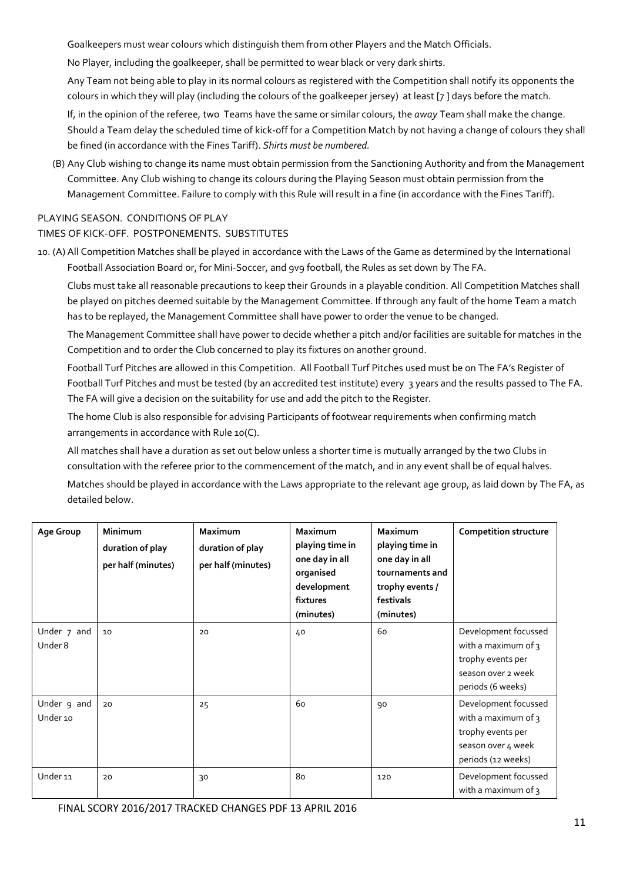Goalkeepers must wear colours which distinguish them from other Players and the Match Officials.

No Player, including the goalkeeper, shall be permitted to wear black or very dark shirts.

Any Team not being able to play in its normal colours as registered with the Competition shall notify its opponents the colours in which they will play (including the colours of the goalkeeper jersey) at least [7 ] days before the match.

If, in the opinion of the referee, two Teams have the same or similar colours, the *away* Team shall make the change. Should a Team delay the scheduled time of kick-off for a Competition Match by not having a change of colours they shall be fined (in accordance with the Fines Tariff). *Shirts must be numbered.*

(B) Any Club wishing to change its name must obtain permission from the Sanctioning Authority and from the Management Committee. Any Club wishing to change its colours during the Playing Season must obtain permission from the Management Committee. Failure to comply with this Rule will result in a fine (in accordance with the Fines Tariff).

# PLAYING SEASON. CONDITIONS OF PLAY

## TIMES OF KICK-OFF. POSTPONEMENTS. SUBSTITUTES

10. (A) All Competition Matches shall be played in accordance with the Laws of the Game as determined by the International Football Association Board or, for Mini-Soccer, and 9v9 football, the Rules as set down by The FA.

Clubs must take all reasonable precautions to keep their Grounds in a playable condition. All Competition Matches shall be played on pitches deemed suitable by the Management Committee. If through any fault of the home Team a match has to be replayed, the Management Committee shall have power to order the venue to be changed.

The Management Committee shall have power to decide whether a pitch and/or facilities are suitable for matches in the Competition and to order the Club concerned to play its fixtures on another ground.

Football Turf Pitches are allowed in this Competition. All Football Turf Pitches used must be on The FA's Register of Football Turf Pitches and must be tested (by an accredited test institute) every 3 years and the results passed to The FA. The FA will give a decision on the suitability for use and add the pitch to the Register.

The home Club is also responsible for advising Participants of footwear requirements when confirming match arrangements in accordance with Rule 10(C).

All matches shall have a duration as set out below unless a shorter time is mutually arranged by the two Clubs in consultation with the referee prior to the commencement of the match, and in any event shall be of equal halves.

Matches should be played in accordance with the Laws appropriate to the relevant age group, as laid down by The FA, as detailed below.

| Age Group               | <b>Minimum</b><br>duration of play<br>per half (minutes) | <b>Maximum</b><br>duration of play<br>per half (minutes) | <b>Maximum</b><br>playing time in<br>one day in all<br>organised<br>development<br>fixtures<br>(minutes) | <b>Maximum</b><br>playing time in<br>one day in all<br>tournaments and<br>trophy events /<br>festivals<br>(minutes) | <b>Competition structure</b>                                                                                 |
|-------------------------|----------------------------------------------------------|----------------------------------------------------------|----------------------------------------------------------------------------------------------------------|---------------------------------------------------------------------------------------------------------------------|--------------------------------------------------------------------------------------------------------------|
| Under 7 and<br>Under 8  | 10                                                       | 20                                                       | 40                                                                                                       | 60                                                                                                                  | Development focussed<br>with a maximum of 3<br>trophy events per<br>season over 2 week<br>periods (6 weeks)  |
| Under 9 and<br>Under 10 | 20                                                       | 25                                                       | 60                                                                                                       | 90                                                                                                                  | Development focussed<br>with a maximum of 3<br>trophy events per<br>season over 4 week<br>periods (12 weeks) |
| Under 11                | 20                                                       | 30                                                       | 80                                                                                                       | 120                                                                                                                 | Development focussed<br>with a maximum of 3                                                                  |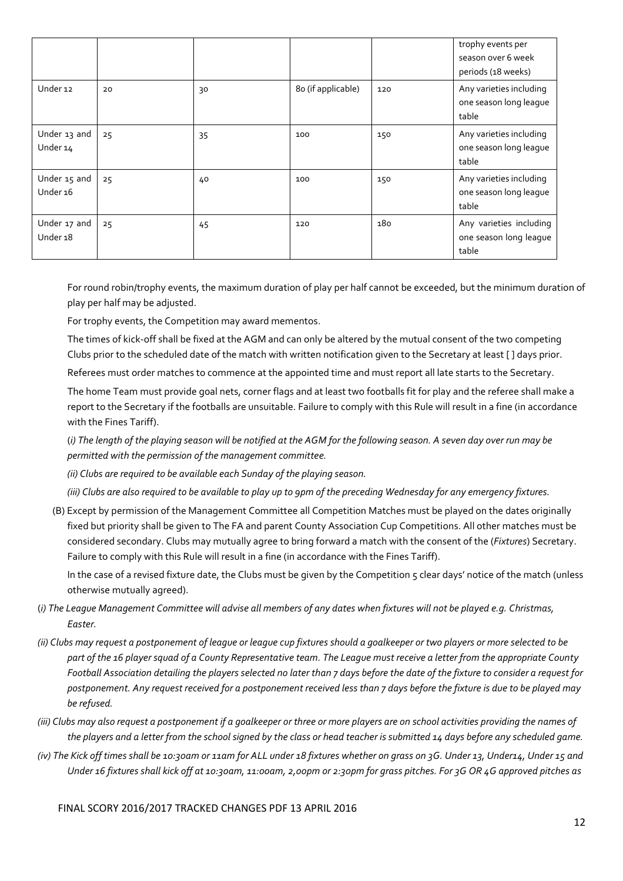|                                     |    |    |                    |     | trophy events per<br>season over 6 week<br>periods (18 weeks) |
|-------------------------------------|----|----|--------------------|-----|---------------------------------------------------------------|
| Under 12                            | 20 | 30 | 80 (if applicable) | 120 | Any varieties including<br>one season long league<br>table    |
| Under 13 and<br>Under 14            | 25 | 35 | 100                | 150 | Any varieties including<br>one season long league<br>table    |
| Under 15 and<br>Under 16            | 25 | 40 | 100                | 150 | Any varieties including<br>one season long league<br>table    |
| Under 17 and<br>Under <sub>18</sub> | 25 | 45 | 120                | 180 | Any varieties including<br>one season long league<br>table    |

For round robin/trophy events, the maximum duration of play per half cannot be exceeded, but the minimum duration of play per half may be adjusted.

For trophy events, the Competition may award mementos.

The times of kick-off shall be fixed at the AGM and can only be altered by the mutual consent of the two competing Clubs prior to the scheduled date of the match with written notification given to the Secretary at least [ ] days prior.

Referees must order matches to commence at the appointed time and must report all late starts to the Secretary.

The home Team must provide goal nets, corner flags and at least two footballs fit for play and the referee shall make a report to the Secretary if the footballs are unsuitable. Failure to comply with this Rule will result in a fine (in accordance with the Fines Tariff).

(*i) The length of the playing season will be notified at the AGM for the following season. A seven day over run may be permitted with the permission of the management committee.* 

*(ii) Clubs are required to be available each Sunday of the playing season.* 

*(iii) Clubs are also required to be available to play up to 9pm of the preceding Wednesday for any emergency fixtures.* 

 (B) Except by permission of the Management Committee all Competition Matches must be played on the dates originally fixed but priority shall be given to The FA and parent County Association Cup Competitions. All other matches must be considered secondary. Clubs may mutually agree to bring forward a match with the consent of the (*Fixtures*) Secretary. Failure to comply with this Rule will result in a fine (in accordance with the Fines Tariff).

In the case of a revised fixture date, the Clubs must be given by the Competition 5 clear days' notice of the match (unless otherwise mutually agreed).

- (*i) The League Management Committee will advise all members of any dates when fixtures will not be played e.g. Christmas, Easter.*
- *(ii) Clubs may request a postponement of league or league cup fixtures should a goalkeeper or two players or more selected to be part of the 16 player squad of a County Representative team. The League must receive a letter from the appropriate County Football Association detailing the players selected no later than 7 days before the date of the fixture to consider a request for postponement. Any request received for a postponement received less than 7 days before the fixture is due to be played may be refused.*
- *(iii) Clubs may also request a postponement if a goalkeeper or three or more players are on school activities providing the names of the players and a letter from the school signed by the class or head teacher is submitted 14 days before any scheduled game.*
- *(iv) The Kick off times shall be 10:30am or 11am for ALL under 18 fixtures whether on grass on 3G. Under 13, Under14, Under 15 and Under 16 fixtures shall kick off at 10:30am, 11:00am, 2,00pm or 2:30pm for grass pitches. For 3G OR 4G approved pitches as*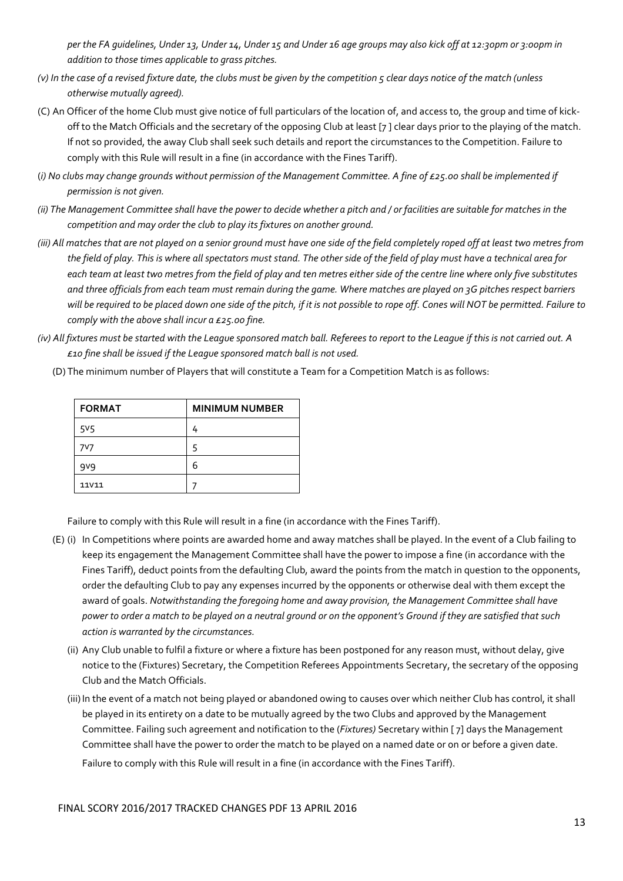*per the FA guidelines, Under 13, Under 14, Under 15 and Under 16 age groups may also kick off at 12:30pm or 3:00pm in addition to those times applicable to grass pitches.* 

- *(v) In the case of a revised fixture date, the clubs must be given by the competition 5 clear days notice of the match (unless otherwise mutually agreed).*
- (C) An Officer of the home Club must give notice of full particulars of the location of, and access to, the group and time of kickoff to the Match Officials and the secretary of the opposing Club at least [7 ] clear days prior to the playing of the match. If not so provided, the away Club shall seek such details and report the circumstances to the Competition. Failure to comply with this Rule will result in a fine (in accordance with the Fines Tariff).
- (*i) No clubs may change grounds without permission of the Management Committee. A fine of £25.00 shall be implemented if permission is not given.*
- *(ii) The Management Committee shall have the power to decide whether a pitch and / or facilities are suitable for matches in the competition and may order the club to play its fixtures on another ground.*
- *(iii) All matches that are not played on a senior ground must have one side of the field completely roped off at least two metres from the field of play. This is where all spectators must stand. The other side of the field of play must have a technical area for each team at least two metres from the field of play and ten metres either side of the centre line where only five substitutes and three officials from each team must remain during the game. Where matches are played on 3G pitches respect barriers will be required to be placed down one side of the pitch, if it is not possible to rope off. Cones will NOT be permitted. Failure to comply with the above shall incur a £25.00 fine.*
- *(iv) All fixtures must be started with the League sponsored match ball. Referees to report to the League if this is not carried out. A £10 fine shall be issued if the League sponsored match ball is not used.*

| <b>FORMAT</b>    | <b>MINIMUM NUMBER</b> |
|------------------|-----------------------|
| 5 <sup>V</sup> 5 | 4                     |
| 7V7              | 5                     |
| 9 <sub>9</sub>   | 6                     |
| <b>11V11</b>     |                       |

(D) The minimum number of Players that will constitute a Team for a Competition Match is as follows:

Failure to comply with this Rule will result in a fine (in accordance with the Fines Tariff).

- (E) (i) In Competitions where points are awarded home and away matches shall be played. In the event of a Club failing to keep its engagement the Management Committee shall have the power to impose a fine (in accordance with the Fines Tariff), deduct points from the defaulting Club, award the points from the match in question to the opponents, order the defaulting Club to pay any expenses incurred by the opponents or otherwise deal with them except the award of goals. *Notwithstanding the foregoing home and away provision, the Management Committee shall have power to order a match to be played on a neutral ground or on the opponent's Ground if they are satisfied that such action is warranted by the circumstances.* 
	- (ii) Any Club unable to fulfil a fixture or where a fixture has been postponed for any reason must, without delay, give notice to the (Fixtures) Secretary, the Competition Referees Appointments Secretary, the secretary of the opposing Club and the Match Officials.
	- (iii) In the event of a match not being played or abandoned owing to causes over which neither Club has control, it shall be played in its entirety on a date to be mutually agreed by the two Clubs and approved by the Management Committee. Failing such agreement and notification to the (*Fixtures)* Secretary within [ 7] days the Management Committee shall have the power to order the match to be played on a named date or on or before a given date. Failure to comply with this Rule will result in a fine (in accordance with the Fines Tariff).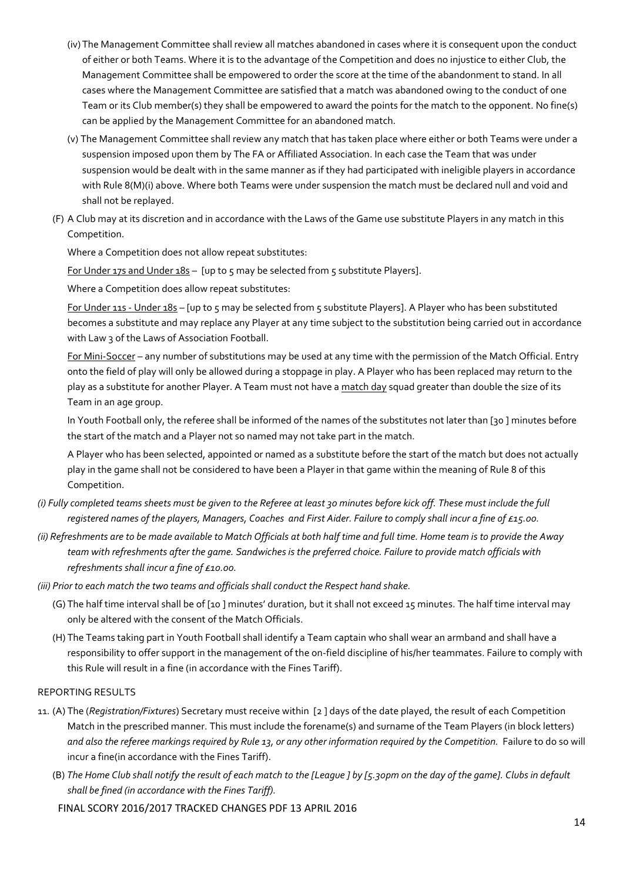- (iv) The Management Committee shall review all matches abandoned in cases where it is consequent upon the conduct of either or both Teams. Where it is to the advantage of the Competition and does no injustice to either Club, the Management Committee shall be empowered to order the score at the time of the abandonment to stand. In all cases where the Management Committee are satisfied that a match was abandoned owing to the conduct of one Team or its Club member(s) they shall be empowered to award the points for the match to the opponent. No fine(s) can be applied by the Management Committee for an abandoned match.
- (v) The Management Committee shall review any match that has taken place where either or both Teams were under a suspension imposed upon them by The FA or Affiliated Association. In each case the Team that was under suspension would be dealt with in the same manner as if they had participated with ineligible players in accordance with Rule 8(M)(i) above. Where both Teams were under suspension the match must be declared null and void and shall not be replayed.
- (F) A Club may at its discretion and in accordance with the Laws of the Game use substitute Players in any match in this Competition.

Where a Competition does not allow repeat substitutes:

For Under 17s and Under 18s - [up to 5 may be selected from 5 substitute Players].

Where a Competition does allow repeat substitutes:

 For Under 11s - Under 18s – [up to 5 may be selected from 5 substitute Players]. A Player who has been substituted becomes a substitute and may replace any Player at any time subject to the substitution being carried out in accordance with Law 3 of the Laws of Association Football.

For Mini-Soccer - any number of substitutions may be used at any time with the permission of the Match Official. Entry onto the field of play will only be allowed during a stoppage in play. A Player who has been replaced may return to the play as a substitute for another Player. A Team must not have a match day squad greater than double the size of its Team in an age group.

 In Youth Football only, the referee shall be informed of the names of the substitutes not later than [30 ] minutes before the start of the match and a Player not so named may not take part in the match.

 A Player who has been selected, appointed or named as a substitute before the start of the match but does not actually play in the game shall not be considered to have been a Player in that game within the meaning of Rule 8 of this Competition.

- *(i) Fully completed teams sheets must be given to the Referee at least 30 minutes before kick off. These must include the full registered names of the players, Managers, Coaches and First Aider. Failure to comply shall incur a fine of £15.00.*
- *(ii) Refreshments are to be made available to Match Officials at both half time and full time. Home team is to provide the Away team with refreshments after the game. Sandwiches is the preferred choice. Failure to provide match officials with refreshments shall incur a fine of £10.00.*

*(iii) Prior to each match the two teams and officials shall conduct the Respect hand shake.* 

- (G) The half time interval shall be of [10 ] minutes' duration, but it shall not exceed 15 minutes. The half time interval may only be altered with the consent of the Match Officials.
- (H) The Teams taking part in Youth Football shall identify a Team captain who shall wear an armband and shall have a responsibility to offer support in the management of the on-field discipline of his/her teammates. Failure to comply with this Rule will result in a fine (in accordance with the Fines Tariff).

# REPORTING RESULTS

- 11. (A) The (*Registration/Fixtures*) Secretary must receive within [2 ] days of the date played, the result of each Competition Match in the prescribed manner. This must include the forename(s) and surname of the Team Players (in block letters) *and also the referee markings required by Rule 13, or any other information required by the Competition.* Failure to do so will incur a fine(in accordance with the Fines Tariff).
	- (B) *The Home Club shall notify the result of each match to the [League ] by [5.30pm on the day of the game]. Clubs in default shall be fined (in accordance with the Fines Tariff).*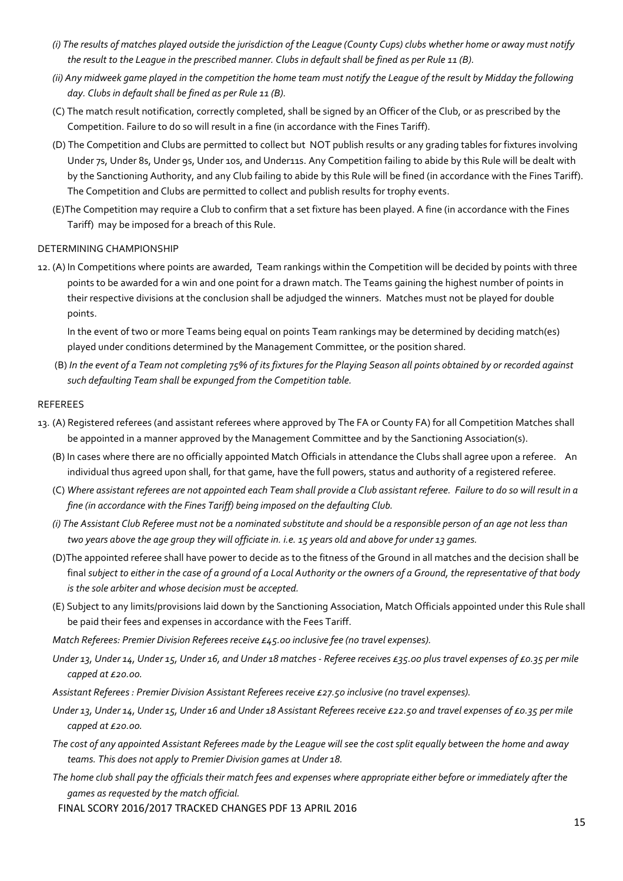- *(i) The results of matches played outside the jurisdiction of the League (County Cups) clubs whether home or away must notify the result to the League in the prescribed manner. Clubs in default shall be fined as per Rule 11 (B).*
- *(ii) Any midweek game played in the competition the home team must notify the League of the result by Midday the following day. Clubs in default shall be fined as per Rule 11 (B).*
- (C) The match result notification, correctly completed, shall be signed by an Officer of the Club, or as prescribed by the Competition. Failure to do so will result in a fine (in accordance with the Fines Tariff).
- (D) The Competition and Clubs are permitted to collect but NOT publish results or any grading tables for fixtures involving Under 7s, Under 8s, Under 9s, Under 10s, and Under11s. Any Competition failing to abide by this Rule will be dealt with by the Sanctioning Authority, and any Club failing to abide by this Rule will be fined (in accordance with the Fines Tariff). The Competition and Clubs are permitted to collect and publish results for trophy events.
- (E)The Competition may require a Club to confirm that a set fixture has been played. A fine (in accordance with the Fines Tariff) may be imposed for a breach of this Rule.

## DETERMINING CHAMPIONSHIP

12. (A) In Competitions where points are awarded, Team rankings within the Competition will be decided by points with three points to be awarded for a win and one point for a drawn match. The Teams gaining the highest number of points in their respective divisions at the conclusion shall be adjudged the winners. Matches must not be played for double points.

 In the event of two or more Teams being equal on points Team rankings may be determined by deciding match(es) played under conditions determined by the Management Committee, or the position shared.

 (B) *In the event of a Team not completing 75% of its fixtures for the Playing Season all points obtained by or recorded against such defaulting Team shall be expunged from the Competition table.* 

## REFEREES

- 13. (A) Registered referees (and assistant referees where approved by The FA or County FA) for all Competition Matches shall be appointed in a manner approved by the Management Committee and by the Sanctioning Association(s).
	- (B) In cases where there are no officially appointed Match Officials in attendance the Clubs shall agree upon a referee. An individual thus agreed upon shall, for that game, have the full powers, status and authority of a registered referee.
	- (C) *Where assistant referees are not appointed each Team shall provide a Club assistant referee. Failure to do so will result in a fine (in accordance with the Fines Tariff) being imposed on the defaulting Club.*
	- *(i) The Assistant Club Referee must not be a nominated substitute and should be a responsible person of an age not less than two years above the age group they will officiate in. i.e. 15 years old and above for under 13 games.*
	- (D)The appointed referee shall have power to decide as to the fitness of the Ground in all matches and the decision shall be final *subject to either in the case of a ground of a Local Authority or the owners of a Ground, the representative of that body is the sole arbiter and whose decision must be accepted.*
	- (E) Subject to any limits/provisions laid down by the Sanctioning Association, Match Officials appointed under this Rule shall be paid their fees and expenses in accordance with the Fees Tariff.

*Match Referees: Premier Division Referees receive £45.00 inclusive fee (no travel expenses).* 

- *Under 13, Under 14, Under 15, Under 16, and Under 18 matches Referee receives £35.00 plus travel expenses of £0.35 per mile capped at £20.00.*
- *Assistant Referees : Premier Division Assistant Referees receive £27.50 inclusive (no travel expenses).*
- *Under 13, Under 14, Under 15, Under 16 and Under 18 Assistant Referees receive £22.50 and travel expenses of £0.35 per mile capped at £20.00.*
- *The cost of any appointed Assistant Referees made by the League will see the cost split equally between the home and away teams. This does not apply to Premier Division games at Under 18.*
- *The home club shall pay the officials their match fees and expenses where appropriate either before or immediately after the games as requested by the match official.*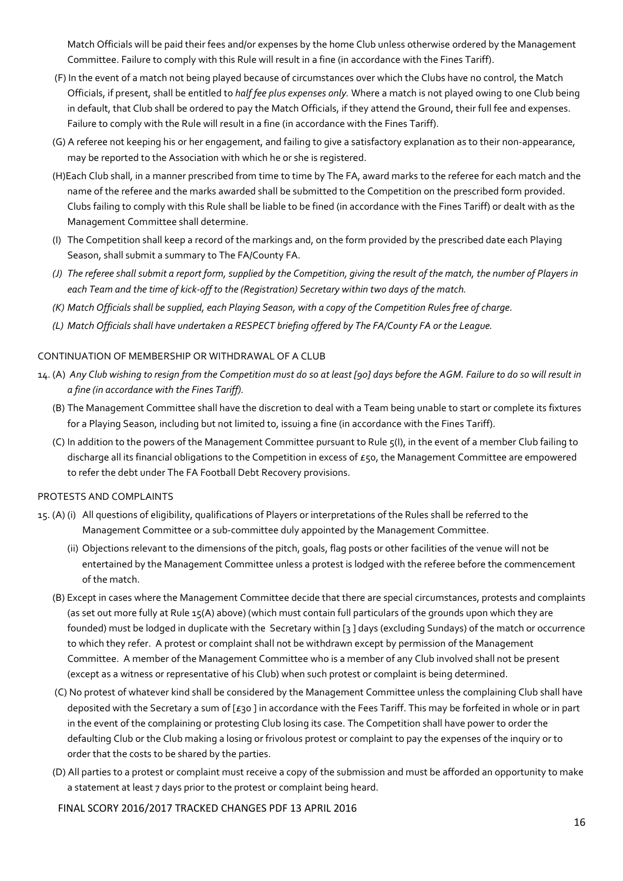Match Officials will be paid their fees and/or expenses by the home Club unless otherwise ordered by the Management Committee. Failure to comply with this Rule will result in a fine (in accordance with the Fines Tariff).

- (F) In the event of a match not being played because of circumstances over which the Clubs have no control, the Match Officials, if present, shall be entitled to *half fee plus expenses only.* Where a match is not played owing to one Club being in default, that Club shall be ordered to pay the Match Officials, if they attend the Ground, their full fee and expenses. Failure to comply with the Rule will result in a fine (in accordance with the Fines Tariff).
- (G) A referee not keeping his or her engagement, and failing to give a satisfactory explanation as to their non-appearance, may be reported to the Association with which he or she is registered.
- (H)Each Club shall, in a manner prescribed from time to time by The FA, award marks to the referee for each match and the name of the referee and the marks awarded shall be submitted to the Competition on the prescribed form provided. Clubs failing to comply with this Rule shall be liable to be fined (in accordance with the Fines Tariff) or dealt with as the Management Committee shall determine.
- (I) The Competition shall keep a record of the markings and, on the form provided by the prescribed date each Playing Season, shall submit a summary to The FA/County FA.
- *(J) The referee shall submit a report form, supplied by the Competition, giving the result of the match, the number of Players in each Team and the time of kick-off to the (Registration) Secretary within two days of the match.*
- *(K) Match Officials shall be supplied, each Playing Season, with a copy of the Competition Rules free of charge.*
- *(L) Match Officials shall have undertaken a RESPECT briefing offered by The FA/County FA or the League.*

## CONTINUATION OF MEMBERSHIP OR WITHDRAWAL OF A CLUB

- 14. (A) *Any Club wishing to resign from the Competition must do so at least [90] days before the AGM. Failure to do so will result in a fine (in accordance with the Fines Tariff).* 
	- (B) The Management Committee shall have the discretion to deal with a Team being unable to start or complete its fixtures for a Playing Season, including but not limited to, issuing a fine (in accordance with the Fines Tariff).
	- (C) In addition to the powers of the Management Committee pursuant to Rule 5(I), in the event of a member Club failing to discharge all its financial obligations to the Competition in excess of  $E$ 50, the Management Committee are empowered to refer the debt under The FA Football Debt Recovery provisions.

## PROTESTS AND COMPLAINTS

- 15. (A) (i) All questions of eligibility, qualifications of Players or interpretations of the Rules shall be referred to the Management Committee or a sub-committee duly appointed by the Management Committee.
	- (ii) Objections relevant to the dimensions of the pitch, goals, flag posts or other facilities of the venue will not be entertained by the Management Committee unless a protest is lodged with the referee before the commencement of the match.
	- (B) Except in cases where the Management Committee decide that there are special circumstances, protests and complaints (as set out more fully at Rule 15(A) above) (which must contain full particulars of the grounds upon which they are founded) must be lodged in duplicate with the Secretary within [3 ] days (excluding Sundays) of the match or occurrence to which they refer. A protest or complaint shall not be withdrawn except by permission of the Management Committee. A member of the Management Committee who is a member of any Club involved shall not be present (except as a witness or representative of his Club) when such protest or complaint is being determined.
	- (C) No protest of whatever kind shall be considered by the Management Committee unless the complaining Club shall have deposited with the Secretary a sum of [£30 ] in accordance with the Fees Tariff. This may be forfeited in whole or in part in the event of the complaining or protesting Club losing its case. The Competition shall have power to order the defaulting Club or the Club making a losing or frivolous protest or complaint to pay the expenses of the inquiry or to order that the costs to be shared by the parties.
	- (D) All parties to a protest or complaint must receive a copy of the submission and must be afforded an opportunity to make a statement at least 7 days prior to the protest or complaint being heard.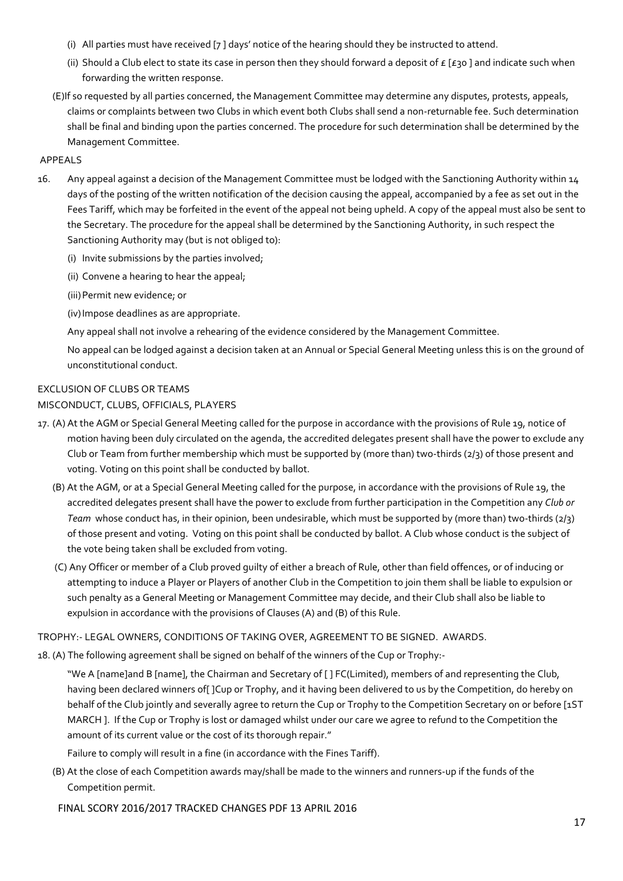- (i) All parties must have received [7 ] days' notice of the hearing should they be instructed to attend.
- (ii) Should a Club elect to state its case in person then they should forward a deposit of  $E$  [£30] and indicate such when forwarding the written response.
- (E)If so requested by all parties concerned, the Management Committee may determine any disputes, protests, appeals, claims or complaints between two Clubs in which event both Clubs shall send a non-returnable fee. Such determination shall be final and binding upon the parties concerned. The procedure for such determination shall be determined by the Management Committee.

## APPEALS

- 16. Any appeal against a decision of the Management Committee must be lodged with the Sanctioning Authority within 14 days of the posting of the written notification of the decision causing the appeal, accompanied by a fee as set out in the Fees Tariff, which may be forfeited in the event of the appeal not being upheld. A copy of the appeal must also be sent to the Secretary. The procedure for the appeal shall be determined by the Sanctioning Authority, in such respect the Sanctioning Authority may (but is not obliged to):
	- (i) Invite submissions by the parties involved;
	- (ii) Convene a hearing to hear the appeal;
	- (iii)Permit new evidence; or

(iv)Impose deadlines as are appropriate.

Any appeal shall not involve a rehearing of the evidence considered by the Management Committee.

No appeal can be lodged against a decision taken at an Annual or Special General Meeting unless this is on the ground of unconstitutional conduct.

# EXCLUSION OF CLUBS OR TEAMS MISCONDUCT, CLUBS, OFFICIALS, PLAYERS

- 17. (A) At the AGM or Special General Meeting called for the purpose in accordance with the provisions of Rule 19, notice of motion having been duly circulated on the agenda, the accredited delegates present shall have the power to exclude any Club or Team from further membership which must be supported by (more than) two-thirds (2/3) of those present and voting. Voting on this point shall be conducted by ballot.
	- (B) At the AGM, or at a Special General Meeting called for the purpose, in accordance with the provisions of Rule 19, the accredited delegates present shall have the power to exclude from further participation in the Competition any *Club or Team* whose conduct has, in their opinion, been undesirable, which must be supported by (more than) two-thirds (2/3) of those present and voting. Voting on this point shall be conducted by ballot. A Club whose conduct is the subject of the vote being taken shall be excluded from voting.
	- (C) Any Officer or member of a Club proved guilty of either a breach of Rule, other than field offences, or of inducing or attempting to induce a Player or Players of another Club in the Competition to join them shall be liable to expulsion or such penalty as a General Meeting or Management Committee may decide, and their Club shall also be liable to expulsion in accordance with the provisions of Clauses (A) and (B) of this Rule.

# TROPHY:- LEGAL OWNERS, CONDITIONS OF TAKING OVER, AGREEMENT TO BE SIGNED. AWARDS.

18. (A) The following agreement shall be signed on behalf of the winners of the Cup or Trophy:-

"We A [name]and B [name], the Chairman and Secretary of [ ] FC(Limited), members of and representing the Club, having been declared winners of[ ]Cup or Trophy, and it having been delivered to us by the Competition, do hereby on behalf of the Club jointly and severally agree to return the Cup or Trophy to the Competition Secretary on or before [1ST MARCH ]. If the Cup or Trophy is lost or damaged whilst under our care we agree to refund to the Competition the amount of its current value or the cost of its thorough repair."

Failure to comply will result in a fine (in accordance with the Fines Tariff).

(B) At the close of each Competition awards may/shall be made to the winners and runners-up if the funds of the Competition permit.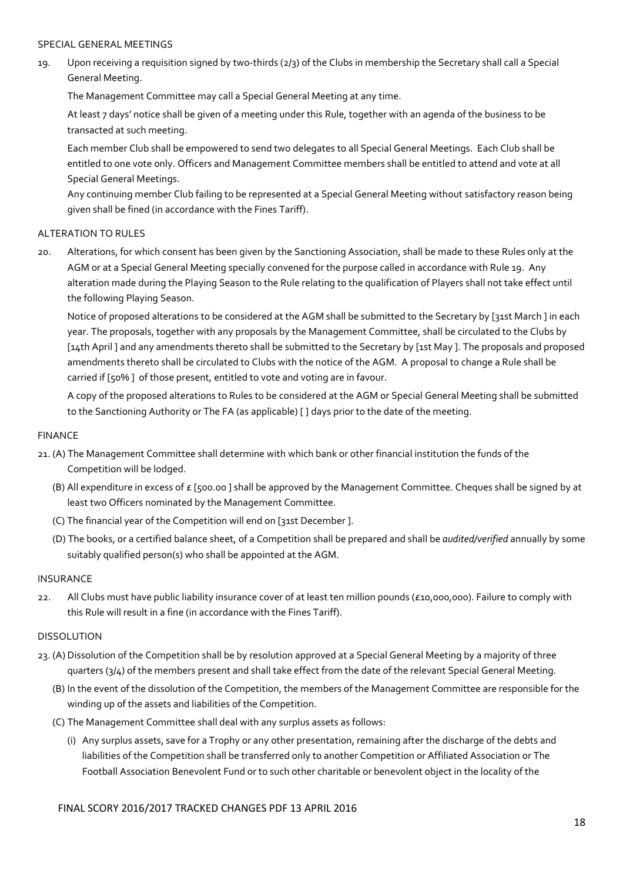### SPECIAL GENERAL MEETINGS

19. Upon receiving a requisition signed by two-thirds (2/3) of the Clubs in membership the Secretary shall call a Special General Meeting.

The Management Committee may call a Special General Meeting at any time.

At least 7 days' notice shall be given of a meeting under this Rule, together with an agenda of the business to be transacted at such meeting.

Each member Club shall be empowered to send two delegates to all Special General Meetings. Each Club shall be entitled to one vote only. Officers and Management Committee members shall be entitled to attend and vote at all Special General Meetings.

Any continuing member Club failing to be represented at a Special General Meeting without satisfactory reason being given shall be fined (in accordance with the Fines Tariff).

## ALTERATION TO RULES

20. Alterations, for which consent has been given by the Sanctioning Association, shall be made to these Rules only at the AGM or at a Special General Meeting specially convened for the purpose called in accordance with Rule 19. Any alteration made during the Playing Season to the Rule relating to the qualification of Players shall not take effect until the following Playing Season.

Notice of proposed alterations to be considered at the AGM shall be submitted to the Secretary by [31st March ] in each year. The proposals, together with any proposals by the Management Committee, shall be circulated to the Clubs by [14th April ] and any amendments thereto shall be submitted to the Secretary by [1st May ]. The proposals and proposed amendments thereto shall be circulated to Clubs with the notice of the AGM. A proposal to change a Rule shall be carried if [50% ] of those present, entitled to vote and voting are in favour.

A copy of the proposed alterations to Rules to be considered at the AGM or Special General Meeting shall be submitted to the Sanctioning Authority or The FA (as applicable) [ ] days prior to the date of the meeting.

### FINANCE

- 21. (A) The Management Committee shall determine with which bank or other financial institution the funds of the Competition will be lodged.
	- (B) All expenditure in excess of  $E$  [500.00] shall be approved by the Management Committee. Cheques shall be signed by at least two Officers nominated by the Management Committee.
	- (C) The financial year of the Competition will end on [31st December ].
	- (D) The books, or a certified balance sheet, of a Competition shall be prepared and shall be *audited/verified* annually by some suitably qualified person(s) who shall be appointed at the AGM.

## INSURANCE

22. All Clubs must have public liability insurance cover of at least ten million pounds (£10,000,000). Failure to comply with this Rule will result in a fine (in accordance with the Fines Tariff).

## DISSOLUTION

- 23. (A) Dissolution of the Competition shall be by resolution approved at a Special General Meeting by a majority of three quarters (3/4) of the members present and shall take effect from the date of the relevant Special General Meeting.
	- (B) In the event of the dissolution of the Competition, the members of the Management Committee are responsible for the winding up of the assets and liabilities of the Competition.
	- (C) The Management Committee shall deal with any surplus assets as follows:
		- (i) Any surplus assets, save for a Trophy or any other presentation, remaining after the discharge of the debts and liabilities of the Competition shall be transferred only to another Competition or Affiliated Association or The Football Association Benevolent Fund or to such other charitable or benevolent object in the locality of the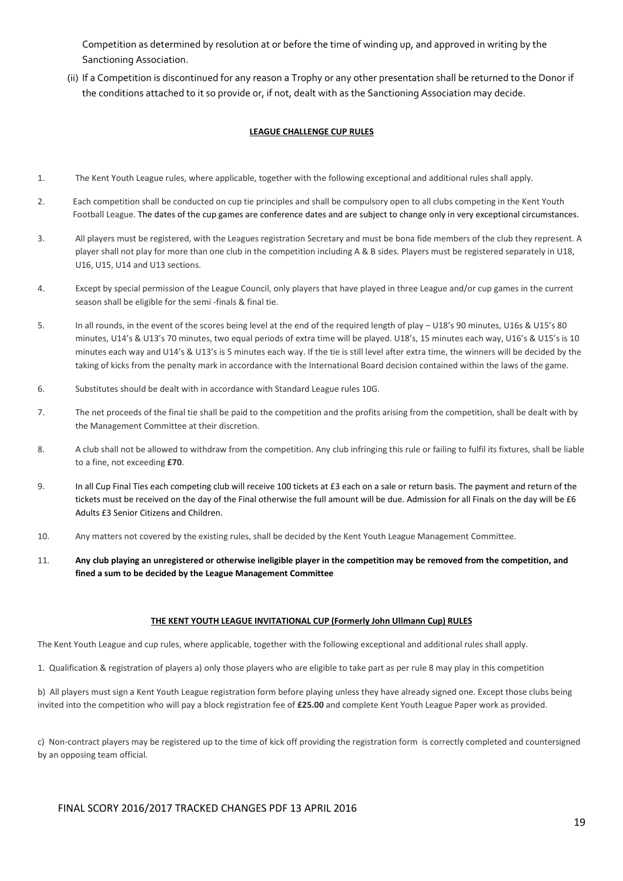Competition as determined by resolution at or before the time of winding up, and approved in writing by the Sanctioning Association.

 (ii) If a Competition is discontinued for any reason a Trophy or any other presentation shall be returned to the Donor if the conditions attached to it so provide or, if not, dealt with as the Sanctioning Association may decide.

#### **LEAGUE CHALLENGE CUP RULES**

- 1. The Kent Youth League rules, where applicable, together with the following exceptional and additional rules shall apply.
- 2. Each competition shall be conducted on cup tie principles and shall be compulsory open to all clubs competing in the Kent Youth Football League. The dates of the cup games are conference dates and are subject to change only in very exceptional circumstances.
- 3. All players must be registered, with the Leagues registration Secretary and must be bona fide members of the club they represent. A player shall not play for more than one club in the competition including A & B sides. Players must be registered separately in U18, U16, U15, U14 and U13 sections.
- 4. Except by special permission of the League Council, only players that have played in three League and/or cup games in the current season shall be eligible for the semi -finals & final tie.
- 5. In all rounds, in the event of the scores being level at the end of the required length of play U18's 90 minutes, U16s & U15's 80 minutes, U14's & U13's 70 minutes, two equal periods of extra time will be played. U18's, 15 minutes each way, U16's & U15's is 10 minutes each way and U14's & U13's is 5 minutes each way. If the tie is still level after extra time, the winners will be decided by the taking of kicks from the penalty mark in accordance with the International Board decision contained within the laws of the game.
- 6. Substitutes should be dealt with in accordance with Standard League rules 10G.
- 7. The net proceeds of the final tie shall be paid to the competition and the profits arising from the competition, shall be dealt with by the Management Committee at their discretion.
- 8. A club shall not be allowed to withdraw from the competition. Any club infringing this rule or failing to fulfil its fixtures, shall be liable to a fine, not exceeding **£70**.
- 9. In all Cup Final Ties each competing club will receive 100 tickets at £3 each on a sale or return basis. The payment and return of the tickets must be received on the day of the Final otherwise the full amount will be due. Admission for all Finals on the day will be £6 Adults £3 Senior Citizens and Children.
- 10. Any matters not covered by the existing rules, shall be decided by the Kent Youth League Management Committee.
- 11. **Any club playing an unregistered or otherwise ineligible player in the competition may be removed from the competition, and fined a sum to be decided by the League Management Committee**

#### **THE KENT YOUTH LEAGUE INVITATIONAL CUP (Formerly John Ullmann Cup) RULES**

The Kent Youth League and cup rules, where applicable, together with the following exceptional and additional rules shall apply.

1. Qualification & registration of players a) only those players who are eligible to take part as per rule 8 may play in this competition

b) All players must sign a Kent Youth League registration form before playing unless they have already signed one. Except those clubs being invited into the competition who will pay a block registration fee of **£25.00** and complete Kent Youth League Paper work as provided.

c) Non-contract players may be registered up to the time of kick off providing the registration form is correctly completed and countersigned by an opposing team official.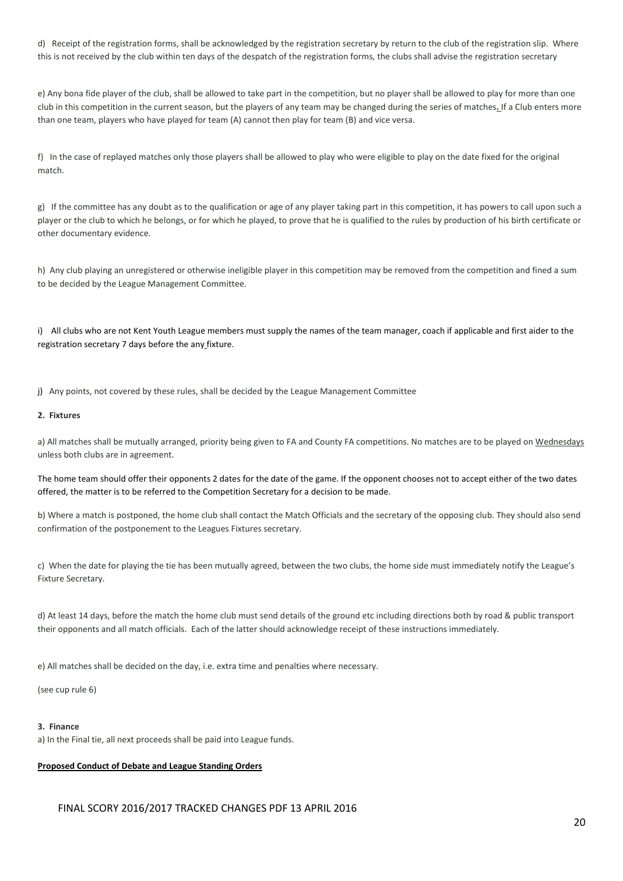d) Receipt of the registration forms, shall be acknowledged by the registration secretary by return to the club of the registration slip. Where this is not received by the club within ten days of the despatch of the registration forms, the clubs shall advise the registration secretary

 e) Any bona fide player of the club, shall be allowed to take part in the competition, but no player shall be allowed to play for more than one club in this competition in the current season, but the players of any team may be changed during the series of matches**.** If a Club enters more than one team, players who have played for team (A) cannot then play for team (B) and vice versa.

 f) In the case of replayed matches only those players shall be allowed to play who were eligible to play on the date fixed for the original match.

 g) If the committee has any doubt as to the qualification or age of any player taking part in this competition, it has powers to call upon such a player or the club to which he belongs, or for which he played, to prove that he is qualified to the rules by production of his birth certificate or other documentary evidence.

 h) Any club playing an unregistered or otherwise ineligible player in this competition may be removed from the competition and fined a sum to be decided by the League Management Committee.

i) All clubs who are not Kent Youth League members must supply the names of the team manager, coach if applicable and first aider to the registration secretary 7 days before the any fixture.

j) Any points, not covered by these rules, shall be decided by the League Management Committee

#### **2. Fixtures**

a) All matches shall be mutually arranged, priority being given to FA and County FA competitions. No matches are to be played on Wednesdays unless both clubs are in agreement.

The home team should offer their opponents 2 dates for the date of the game. If the opponent chooses not to accept either of the two dates offered, the matter is to be referred to the Competition Secretary for a decision to be made.

b) Where a match is postponed, the home club shall contact the Match Officials and the secretary of the opposing club. They should also send confirmation of the postponement to the Leagues Fixtures secretary.

c) When the date for playing the tie has been mutually agreed, between the two clubs, the home side must immediately notify the League's Fixture Secretary.

d) At least 14 days, before the match the home club must send details of the ground etc including directions both by road & public transport their opponents and all match officials. Each of the latter should acknowledge receipt of these instructions immediately.

e) All matches shall be decided on the day, i.e. extra time and penalties where necessary.

(see cup rule 6)

#### **3. Finance**

a) In the Final tie, all next proceeds shall be paid into League funds.

#### **Proposed Conduct of Debate and League Standing Orders**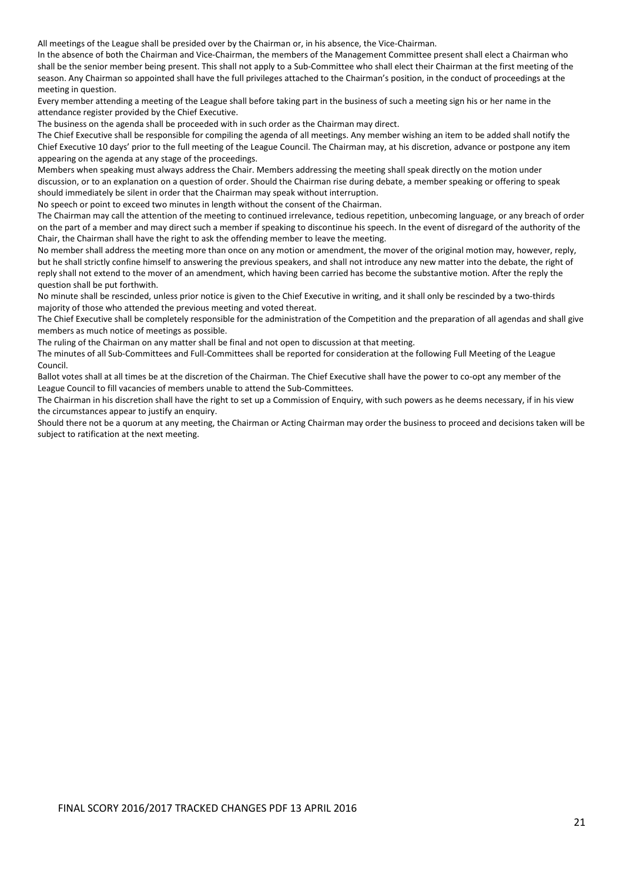All meetings of the League shall be presided over by the Chairman or, in his absence, the Vice-Chairman.

In the absence of both the Chairman and Vice-Chairman, the members of the Management Committee present shall elect a Chairman who shall be the senior member being present. This shall not apply to a Sub-Committee who shall elect their Chairman at the first meeting of the season. Any Chairman so appointed shall have the full privileges attached to the Chairman's position, in the conduct of proceedings at the meeting in question.

Every member attending a meeting of the League shall before taking part in the business of such a meeting sign his or her name in the attendance register provided by the Chief Executive.

The business on the agenda shall be proceeded with in such order as the Chairman may direct.

The Chief Executive shall be responsible for compiling the agenda of all meetings. Any member wishing an item to be added shall notify the Chief Executive 10 days' prior to the full meeting of the League Council. The Chairman may, at his discretion, advance or postpone any item appearing on the agenda at any stage of the proceedings.

Members when speaking must always address the Chair. Members addressing the meeting shall speak directly on the motion under discussion, or to an explanation on a question of order. Should the Chairman rise during debate, a member speaking or offering to speak should immediately be silent in order that the Chairman may speak without interruption.

No speech or point to exceed two minutes in length without the consent of the Chairman.

The Chairman may call the attention of the meeting to continued irrelevance, tedious repetition, unbecoming language, or any breach of order on the part of a member and may direct such a member if speaking to discontinue his speech. In the event of disregard of the authority of the Chair, the Chairman shall have the right to ask the offending member to leave the meeting.

No member shall address the meeting more than once on any motion or amendment, the mover of the original motion may, however, reply, but he shall strictly confine himself to answering the previous speakers, and shall not introduce any new matter into the debate, the right of reply shall not extend to the mover of an amendment, which having been carried has become the substantive motion. After the reply the question shall be put forthwith.

No minute shall be rescinded, unless prior notice is given to the Chief Executive in writing, and it shall only be rescinded by a two-thirds majority of those who attended the previous meeting and voted thereat.

The Chief Executive shall be completely responsible for the administration of the Competition and the preparation of all agendas and shall give members as much notice of meetings as possible.

The ruling of the Chairman on any matter shall be final and not open to discussion at that meeting.

The minutes of all Sub-Committees and Full-Committees shall be reported for consideration at the following Full Meeting of the League Council.

Ballot votes shall at all times be at the discretion of the Chairman. The Chief Executive shall have the power to co-opt any member of the League Council to fill vacancies of members unable to attend the Sub-Committees.

The Chairman in his discretion shall have the right to set up a Commission of Enquiry, with such powers as he deems necessary, if in his view the circumstances appear to justify an enquiry.

Should there not be a quorum at any meeting, the Chairman or Acting Chairman may order the business to proceed and decisions taken will be subject to ratification at the next meeting.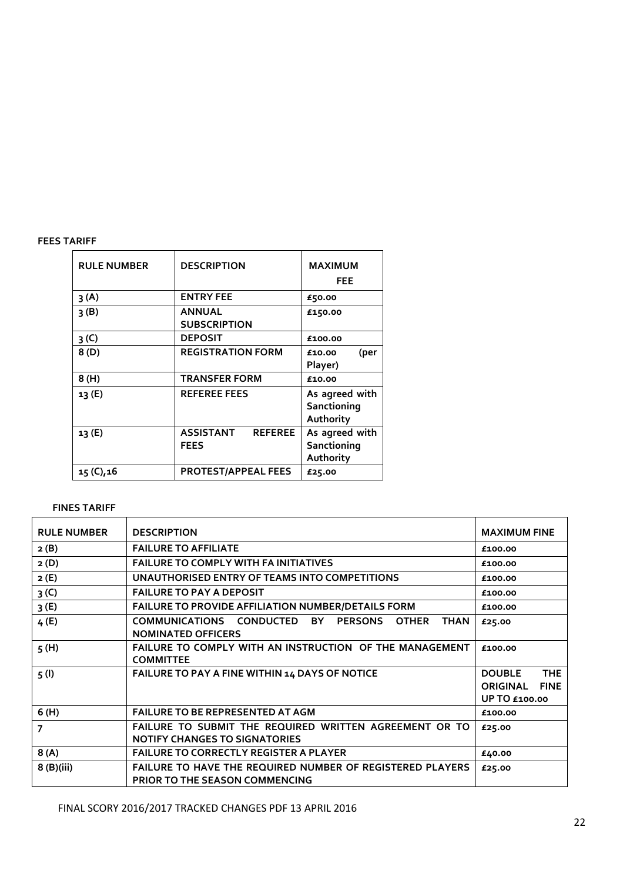### **FEES TARIFF**

| <b>RULE NUMBER</b> | <b>DESCRIPTION</b>                                | <b>MAXIMUM</b><br><b>FEE</b>               |
|--------------------|---------------------------------------------------|--------------------------------------------|
| 3(A)               | <b>ENTRY FEE</b>                                  | £50.00                                     |
| 3(B)               | <b>ANNUAL</b><br><b>SUBSCRIPTION</b>              | £150.00                                    |
| 3 <sup>(C)</sup>   | <b>DEPOSIT</b>                                    | £100.00                                    |
| 8(D)               | <b>REGISTRATION FORM</b>                          | (per<br>£10.00<br>Player)                  |
| 8(H)               | <b>TRANSFER FORM</b>                              | £10.00                                     |
| 13 (E)             | <b>REFEREE FEES</b>                               | As agreed with<br>Sanctioning<br>Authority |
| 13(E)              | <b>ASSISTANT</b><br><b>REFEREE</b><br><b>FEES</b> | As agreed with<br>Sanctioning<br>Authority |
| 15 (C), 16         | <b>PROTEST/APPEAL FEES</b>                        | £25.00                                     |

### **FINES TARIFF**

| <b>RULE NUMBER</b>       | <b>DESCRIPTION</b>                                                                                                  | <b>MAXIMUM FINE</b>                                                                   |
|--------------------------|---------------------------------------------------------------------------------------------------------------------|---------------------------------------------------------------------------------------|
| 2(B)                     | <b>FAILURE TO AFFILIATE</b>                                                                                         | £100.00                                                                               |
| 2(D)                     | <b>FAILURE TO COMPLY WITH FA INITIATIVES</b>                                                                        | £100.00                                                                               |
| 2(E)                     | UNAUTHORISED ENTRY OF TEAMS INTO COMPETITIONS                                                                       | £100.00                                                                               |
| 3 <sup>(C)</sup>         | <b>FAILURE TO PAY A DEPOSIT</b>                                                                                     | £100.00                                                                               |
| 3(E)                     | <b>FAILURE TO PROVIDE AFFILIATION NUMBER/DETAILS FORM</b>                                                           | £100.00                                                                               |
| 4(E)                     | COMMUNICATIONS CONDUCTED<br><b>BY</b><br><b>PERSONS</b><br><b>OTHER</b><br><b>THAN</b><br><b>NOMINATED OFFICERS</b> | £25.00                                                                                |
| 5(H)                     | FAILURE TO COMPLY WITH AN INSTRUCTION OF THE MANAGEMENT<br><b>COMMITTEE</b>                                         | £100.00                                                                               |
| 5(1)                     | FAILURE TO PAY A FINE WITHIN 14 DAYS OF NOTICE                                                                      | <b>THE</b><br><b>DOUBLE</b><br><b>ORIGINAL</b><br><b>FINE</b><br><b>UP TO £100.00</b> |
| 6(H)                     | <b>FAILURE TO BE REPRESENTED AT AGM</b>                                                                             | £100.00                                                                               |
| $\overline{\phantom{a}}$ | FAILURE TO SUBMIT THE REQUIRED WRITTEN AGREEMENT OR TO<br><b>NOTIFY CHANGES TO SIGNATORIES</b>                      | £25.00                                                                                |
| 8(A)                     | <b>FAILURE TO CORRECTLY REGISTER A PLAYER</b>                                                                       | £40.00                                                                                |
| $8$ (B)(iii)             | <b>FAILURE TO HAVE THE REQUIRED NUMBER OF REGISTERED PLAYERS</b><br>PRIOR TO THE SEASON COMMENCING                  | £25.00                                                                                |